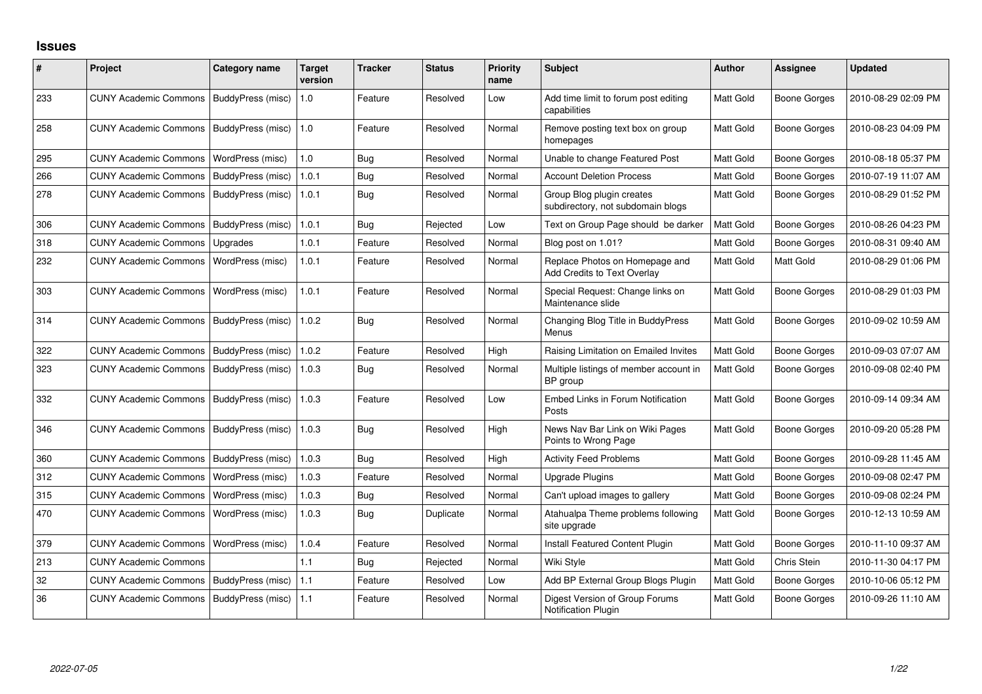## **Issues**

| #   | Project                      | Category name     | Target<br>version | <b>Tracker</b> | <b>Status</b> | <b>Priority</b><br>name | Subject                                                              | Author    | <b>Assignee</b>     | <b>Updated</b>      |
|-----|------------------------------|-------------------|-------------------|----------------|---------------|-------------------------|----------------------------------------------------------------------|-----------|---------------------|---------------------|
| 233 | <b>CUNY Academic Commons</b> | BuddyPress (misc) | 1.0               | Feature        | Resolved      | Low                     | Add time limit to forum post editing<br>capabilities                 | Matt Gold | <b>Boone Gorges</b> | 2010-08-29 02:09 PM |
| 258 | <b>CUNY Academic Commons</b> | BuddyPress (misc) | 1.0               | Feature        | Resolved      | Normal                  | Remove posting text box on group<br>homepages                        | Matt Gold | <b>Boone Gorges</b> | 2010-08-23 04:09 PM |
| 295 | <b>CUNY Academic Commons</b> | WordPress (misc)  | 1.0               | <b>Bug</b>     | Resolved      | Normal                  | Unable to change Featured Post                                       | Matt Gold | <b>Boone Gorges</b> | 2010-08-18 05:37 PM |
| 266 | <b>CUNY Academic Commons</b> | BuddyPress (misc) | 1.0.1             | Bug            | Resolved      | Normal                  | <b>Account Deletion Process</b>                                      | Matt Gold | <b>Boone Gorges</b> | 2010-07-19 11:07 AM |
| 278 | <b>CUNY Academic Commons</b> | BuddyPress (misc) | 1.0.1             | Bug            | Resolved      | Normal                  | Group Blog plugin creates<br>subdirectory, not subdomain blogs       | Matt Gold | <b>Boone Gorges</b> | 2010-08-29 01:52 PM |
| 306 | <b>CUNY Academic Commons</b> | BuddyPress (misc) | 1.0.1             | Bug            | Rejected      | Low                     | Text on Group Page should be darker                                  | Matt Gold | <b>Boone Gorges</b> | 2010-08-26 04:23 PM |
| 318 | <b>CUNY Academic Commons</b> | Upgrades          | 1.0.1             | Feature        | Resolved      | Normal                  | Blog post on 1.01?                                                   | Matt Gold | Boone Gorges        | 2010-08-31 09:40 AM |
| 232 | <b>CUNY Academic Commons</b> | WordPress (misc)  | 1.0.1             | Feature        | Resolved      | Normal                  | Replace Photos on Homepage and<br><b>Add Credits to Text Overlay</b> | Matt Gold | Matt Gold           | 2010-08-29 01:06 PM |
| 303 | <b>CUNY Academic Commons</b> | WordPress (misc)  | 1.0.1             | Feature        | Resolved      | Normal                  | Special Request: Change links on<br>Maintenance slide                | Matt Gold | <b>Boone Gorges</b> | 2010-08-29 01:03 PM |
| 314 | <b>CUNY Academic Commons</b> | BuddyPress (misc) | 1.0.2             | Bug            | Resolved      | Normal                  | Changing Blog Title in BuddyPress<br>Menus                           | Matt Gold | <b>Boone Gorges</b> | 2010-09-02 10:59 AM |
| 322 | <b>CUNY Academic Commons</b> | BuddyPress (misc) | 1.0.2             | Feature        | Resolved      | High                    | Raising Limitation on Emailed Invites                                | Matt Gold | <b>Boone Gorges</b> | 2010-09-03 07:07 AM |
| 323 | <b>CUNY Academic Commons</b> | BuddyPress (misc) | 1.0.3             | Bug            | Resolved      | Normal                  | Multiple listings of member account in<br>BP group                   | Matt Gold | <b>Boone Gorges</b> | 2010-09-08 02:40 PM |
| 332 | <b>CUNY Academic Commons</b> | BuddyPress (misc) | 1.0.3             | Feature        | Resolved      | Low                     | Embed Links in Forum Notification<br>Posts                           | Matt Gold | <b>Boone Gorges</b> | 2010-09-14 09:34 AM |
| 346 | <b>CUNY Academic Commons</b> | BuddyPress (misc) | 1.0.3             | Bug            | Resolved      | High                    | News Nav Bar Link on Wiki Pages<br>Points to Wrong Page              | Matt Gold | <b>Boone Gorges</b> | 2010-09-20 05:28 PM |
| 360 | <b>CUNY Academic Commons</b> | BuddyPress (misc) | 1.0.3             | Bug            | Resolved      | High                    | <b>Activity Feed Problems</b>                                        | Matt Gold | <b>Boone Gorges</b> | 2010-09-28 11:45 AM |
| 312 | <b>CUNY Academic Commons</b> | WordPress (misc)  | 1.0.3             | Feature        | Resolved      | Normal                  | Upgrade Plugins                                                      | Matt Gold | <b>Boone Gorges</b> | 2010-09-08 02:47 PM |
| 315 | <b>CUNY Academic Commons</b> | WordPress (misc)  | 1.0.3             | Bug            | Resolved      | Normal                  | Can't upload images to gallery                                       | Matt Gold | <b>Boone Gorges</b> | 2010-09-08 02:24 PM |
| 470 | <b>CUNY Academic Commons</b> | WordPress (misc)  | 1.0.3             | Bug            | Duplicate     | Normal                  | Atahualpa Theme problems following<br>site upgrade                   | Matt Gold | <b>Boone Gorges</b> | 2010-12-13 10:59 AM |
| 379 | <b>CUNY Academic Commons</b> | WordPress (misc)  | 1.0.4             | Feature        | Resolved      | Normal                  | Install Featured Content Plugin                                      | Matt Gold | <b>Boone Gorges</b> | 2010-11-10 09:37 AM |
| 213 | <b>CUNY Academic Commons</b> |                   | 1.1               | Bug            | Rejected      | Normal                  | Wiki Style                                                           | Matt Gold | Chris Stein         | 2010-11-30 04:17 PM |
| 32  | <b>CUNY Academic Commons</b> | BuddyPress (misc) | 1.1               | Feature        | Resolved      | Low                     | Add BP External Group Blogs Plugin                                   | Matt Gold | <b>Boone Gorges</b> | 2010-10-06 05:12 PM |
| 36  | <b>CUNY Academic Commons</b> | BuddyPress (misc) | 1.1               | Feature        | Resolved      | Normal                  | Digest Version of Group Forums<br><b>Notification Plugin</b>         | Matt Gold | Boone Gorges        | 2010-09-26 11:10 AM |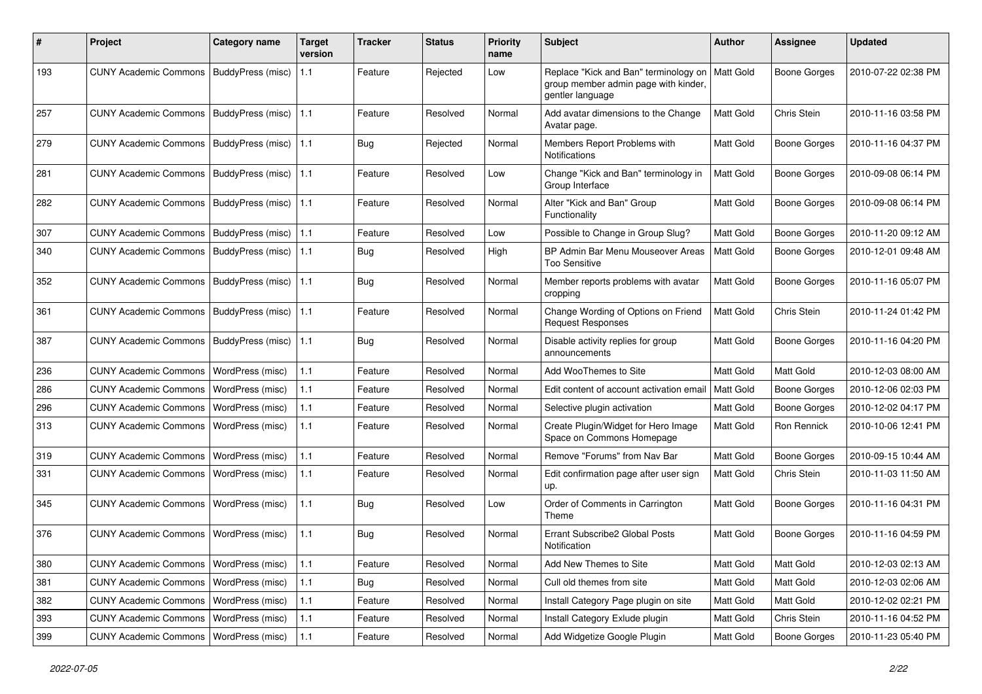| #   | Project                                   | <b>Category name</b> | <b>Target</b><br>version | Tracker    | <b>Status</b> | <b>Priority</b><br>name | <b>Subject</b>                                                                                    | Author           | Assignee            | <b>Updated</b>      |
|-----|-------------------------------------------|----------------------|--------------------------|------------|---------------|-------------------------|---------------------------------------------------------------------------------------------------|------------------|---------------------|---------------------|
| 193 | CUNY Academic Commons   BuddyPress (misc) |                      | 1.1                      | Feature    | Rejected      | Low                     | Replace "Kick and Ban" terminology on<br>group member admin page with kinder,<br>gentler language | Matt Gold        | <b>Boone Gorges</b> | 2010-07-22 02:38 PM |
| 257 | <b>CUNY Academic Commons</b>              | BuddyPress (misc)    | 1.1                      | Feature    | Resolved      | Normal                  | Add avatar dimensions to the Change<br>Avatar page.                                               | Matt Gold        | Chris Stein         | 2010-11-16 03:58 PM |
| 279 | <b>CUNY Academic Commons</b>              | BuddyPress (misc)    | 1.1                      | Bug        | Rejected      | Normal                  | Members Report Problems with<br>Notifications                                                     | Matt Gold        | Boone Gorges        | 2010-11-16 04:37 PM |
| 281 | <b>CUNY Academic Commons</b>              | BuddyPress (misc)    | 1.1                      | Feature    | Resolved      | Low                     | Change "Kick and Ban" terminology in<br>Group Interface                                           | Matt Gold        | <b>Boone Gorges</b> | 2010-09-08 06:14 PM |
| 282 | <b>CUNY Academic Commons</b>              | BuddyPress (misc)    | 1.1                      | Feature    | Resolved      | Normal                  | Alter "Kick and Ban" Group<br>Functionality                                                       | <b>Matt Gold</b> | <b>Boone Gorges</b> | 2010-09-08 06:14 PM |
| 307 | <b>CUNY Academic Commons</b>              | BuddyPress (misc)    | 1.1                      | Feature    | Resolved      | Low                     | Possible to Change in Group Slug?                                                                 | <b>Matt Gold</b> | <b>Boone Gorges</b> | 2010-11-20 09:12 AM |
| 340 | <b>CUNY Academic Commons</b>              | BuddyPress (misc)    | 1.1                      | <b>Bug</b> | Resolved      | High                    | BP Admin Bar Menu Mouseover Areas<br><b>Too Sensitive</b>                                         | Matt Gold        | Boone Gorges        | 2010-12-01 09:48 AM |
| 352 | <b>CUNY Academic Commons</b>              | BuddyPress (misc)    | 1.1                      | <b>Bug</b> | Resolved      | Normal                  | Member reports problems with avatar<br>cropping                                                   | Matt Gold        | <b>Boone Gorges</b> | 2010-11-16 05:07 PM |
| 361 | <b>CUNY Academic Commons</b>              | BuddyPress (misc)    | 1.1                      | Feature    | Resolved      | Normal                  | Change Wording of Options on Friend<br><b>Request Responses</b>                                   | Matt Gold        | Chris Stein         | 2010-11-24 01:42 PM |
| 387 | <b>CUNY Academic Commons</b>              | BuddyPress (misc)    | 1.1                      | <b>Bug</b> | Resolved      | Normal                  | Disable activity replies for group<br>announcements                                               | Matt Gold        | Boone Gorges        | 2010-11-16 04:20 PM |
| 236 | <b>CUNY Academic Commons</b>              | WordPress (misc)     | 1.1                      | Feature    | Resolved      | Normal                  | Add WooThemes to Site                                                                             | Matt Gold        | Matt Gold           | 2010-12-03 08:00 AM |
| 286 | <b>CUNY Academic Commons</b>              | WordPress (misc)     | 1.1                      | Feature    | Resolved      | Normal                  | Edit content of account activation email                                                          | Matt Gold        | <b>Boone Gorges</b> | 2010-12-06 02:03 PM |
| 296 | <b>CUNY Academic Commons</b>              | WordPress (misc)     | 1.1                      | Feature    | Resolved      | Normal                  | Selective plugin activation                                                                       | Matt Gold        | <b>Boone Gorges</b> | 2010-12-02 04:17 PM |
| 313 | <b>CUNY Academic Commons</b>              | WordPress (misc)     | 1.1                      | Feature    | Resolved      | Normal                  | Create Plugin/Widget for Hero Image<br>Space on Commons Homepage                                  | Matt Gold        | Ron Rennick         | 2010-10-06 12:41 PM |
| 319 | <b>CUNY Academic Commons</b>              | WordPress (misc)     | 1.1                      | Feature    | Resolved      | Normal                  | Remove "Forums" from Nav Bar                                                                      | Matt Gold        | <b>Boone Gorges</b> | 2010-09-15 10:44 AM |
| 331 | <b>CUNY Academic Commons</b>              | WordPress (misc)     | 1.1                      | Feature    | Resolved      | Normal                  | Edit confirmation page after user sign<br>up.                                                     | Matt Gold        | Chris Stein         | 2010-11-03 11:50 AM |
| 345 | <b>CUNY Academic Commons</b>              | WordPress (misc)     | 1.1                      | <b>Bug</b> | Resolved      | Low                     | Order of Comments in Carrington<br>Theme                                                          | Matt Gold        | Boone Gorges        | 2010-11-16 04:31 PM |
| 376 | <b>CUNY Academic Commons</b>              | WordPress (misc)     | 1.1                      | <b>Bug</b> | Resolved      | Normal                  | Errant Subscribe2 Global Posts<br>Notification                                                    | <b>Matt Gold</b> | Boone Gorges        | 2010-11-16 04:59 PM |
| 380 | CUNY Academic Commons   WordPress (misc)  |                      | 1.1                      | Feature    | Resolved      | Normal                  | Add New Themes to Site                                                                            | Matt Gold        | Matt Gold           | 2010-12-03 02:13 AM |
| 381 | <b>CUNY Academic Commons</b>              | WordPress (misc)     | $1.1$                    | Bug        | Resolved      | Normal                  | Cull old themes from site                                                                         | Matt Gold        | Matt Gold           | 2010-12-03 02:06 AM |
| 382 | <b>CUNY Academic Commons</b>              | WordPress (misc)     | 1.1                      | Feature    | Resolved      | Normal                  | Install Category Page plugin on site                                                              | <b>Matt Gold</b> | Matt Gold           | 2010-12-02 02:21 PM |
| 393 | CUNY Academic Commons                     | WordPress (misc)     | $1.1$                    | Feature    | Resolved      | Normal                  | Install Category Exlude plugin                                                                    | Matt Gold        | Chris Stein         | 2010-11-16 04:52 PM |
| 399 | <b>CUNY Academic Commons</b>              | WordPress (misc)     | 1.1                      | Feature    | Resolved      | Normal                  | Add Widgetize Google Plugin                                                                       | Matt Gold        | <b>Boone Gorges</b> | 2010-11-23 05:40 PM |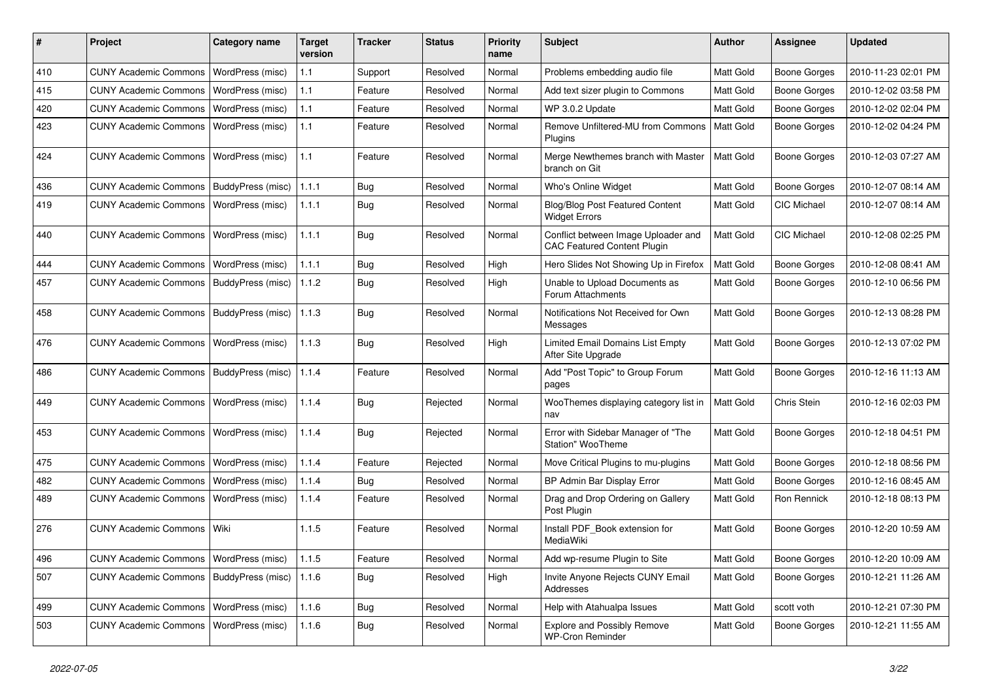| #   | Project                                   | Category name           | <b>Target</b><br>version | <b>Tracker</b> | <b>Status</b> | <b>Priority</b><br>name | <b>Subject</b>                                                            | <b>Author</b>    | Assignee            | <b>Updated</b>      |
|-----|-------------------------------------------|-------------------------|--------------------------|----------------|---------------|-------------------------|---------------------------------------------------------------------------|------------------|---------------------|---------------------|
| 410 | <b>CUNY Academic Commons</b>              | WordPress (misc)        | 1.1                      | Support        | Resolved      | Normal                  | Problems embedding audio file                                             | Matt Gold        | <b>Boone Gorges</b> | 2010-11-23 02:01 PM |
| 415 | <b>CUNY Academic Commons</b>              | WordPress (misc)        | 1.1                      | Feature        | Resolved      | Normal                  | Add text sizer plugin to Commons                                          | Matt Gold        | <b>Boone Gorges</b> | 2010-12-02 03:58 PM |
| 420 | <b>CUNY Academic Commons</b>              | WordPress (misc)        | 1.1                      | Feature        | Resolved      | Normal                  | WP 3.0.2 Update                                                           | Matt Gold        | <b>Boone Gorges</b> | 2010-12-02 02:04 PM |
| 423 | <b>CUNY Academic Commons</b>              | WordPress (misc)        | 1.1                      | Feature        | Resolved      | Normal                  | Remove Unfiltered-MU from Commons<br>Plugins                              | <b>Matt Gold</b> | <b>Boone Gorges</b> | 2010-12-02 04:24 PM |
| 424 | <b>CUNY Academic Commons</b>              | WordPress (misc)        | 1.1                      | Feature        | Resolved      | Normal                  | Merge Newthemes branch with Master<br>branch on Git                       | Matt Gold        | <b>Boone Gorges</b> | 2010-12-03 07:27 AM |
| 436 | <b>CUNY Academic Commons</b>              | BuddyPress (misc)       | 1.1.1                    | Bug            | Resolved      | Normal                  | Who's Online Widget                                                       | Matt Gold        | <b>Boone Gorges</b> | 2010-12-07 08:14 AM |
| 419 | <b>CUNY Academic Commons</b>              | <b>WordPress (misc)</b> | 1.1.1                    | <b>Bug</b>     | Resolved      | Normal                  | <b>Blog/Blog Post Featured Content</b><br><b>Widget Errors</b>            | Matt Gold        | <b>CIC Michael</b>  | 2010-12-07 08:14 AM |
| 440 | <b>CUNY Academic Commons</b>              | WordPress (misc)        | 1.1.1                    | <b>Bug</b>     | Resolved      | Normal                  | Conflict between Image Uploader and<br><b>CAC Featured Content Plugin</b> | Matt Gold        | <b>CIC Michael</b>  | 2010-12-08 02:25 PM |
| 444 | <b>CUNY Academic Commons</b>              | WordPress (misc)        | 1.1.1                    | <b>Bug</b>     | Resolved      | High                    | Hero Slides Not Showing Up in Firefox                                     | Matt Gold        | <b>Boone Gorges</b> | 2010-12-08 08:41 AM |
| 457 | <b>CUNY Academic Commons</b>              | BuddyPress (misc)       | 1.1.2                    | <b>Bug</b>     | Resolved      | High                    | Unable to Upload Documents as<br>Forum Attachments                        | Matt Gold        | <b>Boone Gorges</b> | 2010-12-10 06:56 PM |
| 458 | <b>CUNY Academic Commons</b>              | BuddyPress (misc)       | 1.1.3                    | <b>Bug</b>     | Resolved      | Normal                  | Notifications Not Received for Own<br>Messages                            | Matt Gold        | <b>Boone Gorges</b> | 2010-12-13 08:28 PM |
| 476 | <b>CUNY Academic Commons</b>              | WordPress (misc)        | 1.1.3                    | Bug            | Resolved      | High                    | <b>Limited Email Domains List Empty</b><br>After Site Upgrade             | Matt Gold        | <b>Boone Gorges</b> | 2010-12-13 07:02 PM |
| 486 | <b>CUNY Academic Commons</b>              | BuddyPress (misc)       | 1.1.4                    | Feature        | Resolved      | Normal                  | Add "Post Topic" to Group Forum<br>pages                                  | Matt Gold        | <b>Boone Gorges</b> | 2010-12-16 11:13 AM |
| 449 | <b>CUNY Academic Commons</b>              | WordPress (misc)        | 1.1.4                    | Bug            | Rejected      | Normal                  | WooThemes displaying category list in<br>nav                              | Matt Gold        | Chris Stein         | 2010-12-16 02:03 PM |
| 453 | <b>CUNY Academic Commons</b>              | WordPress (misc)        | 1.1.4                    | Bug            | Rejected      | Normal                  | Error with Sidebar Manager of "The<br>Station" WooTheme                   | Matt Gold        | <b>Boone Gorges</b> | 2010-12-18 04:51 PM |
| 475 | <b>CUNY Academic Commons</b>              | WordPress (misc)        | 1.1.4                    | Feature        | Rejected      | Normal                  | Move Critical Plugins to mu-plugins                                       | Matt Gold        | <b>Boone Gorges</b> | 2010-12-18 08:56 PM |
| 482 | <b>CUNY Academic Commons</b>              | WordPress (misc)        | 1.1.4                    | <b>Bug</b>     | Resolved      | Normal                  | BP Admin Bar Display Error                                                | Matt Gold        | <b>Boone Gorges</b> | 2010-12-16 08:45 AM |
| 489 | <b>CUNY Academic Commons</b>              | WordPress (misc)        | 1.1.4                    | Feature        | Resolved      | Normal                  | Drag and Drop Ordering on Gallery<br>Post Plugin                          | Matt Gold        | Ron Rennick         | 2010-12-18 08:13 PM |
| 276 | <b>CUNY Academic Commons</b>              | Wiki                    | 1.1.5                    | Feature        | Resolved      | Normal                  | Install PDF_Book extension for<br>MediaWiki                               | Matt Gold        | <b>Boone Gorges</b> | 2010-12-20 10:59 AM |
| 496 | CUNY Academic Commons   WordPress (misc)  |                         | 1.1.5                    | Feature        | Resolved      | Normal                  | Add wp-resume Plugin to Site                                              | Matt Gold        | <b>Boone Gorges</b> | 2010-12-20 10:09 AM |
| 507 | CUNY Academic Commons   BuddyPress (misc) |                         | 1.1.6                    | Bug            | Resolved      | High                    | Invite Anyone Rejects CUNY Email<br>Addresses                             | Matt Gold        | <b>Boone Gorges</b> | 2010-12-21 11:26 AM |
| 499 | CUNY Academic Commons   WordPress (misc)  |                         | 1.1.6                    | <b>Bug</b>     | Resolved      | Normal                  | Help with Atahualpa Issues                                                | Matt Gold        | scott voth          | 2010-12-21 07:30 PM |
| 503 | CUNY Academic Commons   WordPress (misc)  |                         | 1.1.6                    | <b>Bug</b>     | Resolved      | Normal                  | <b>Explore and Possibly Remove</b><br><b>WP-Cron Reminder</b>             | Matt Gold        | <b>Boone Gorges</b> | 2010-12-21 11:55 AM |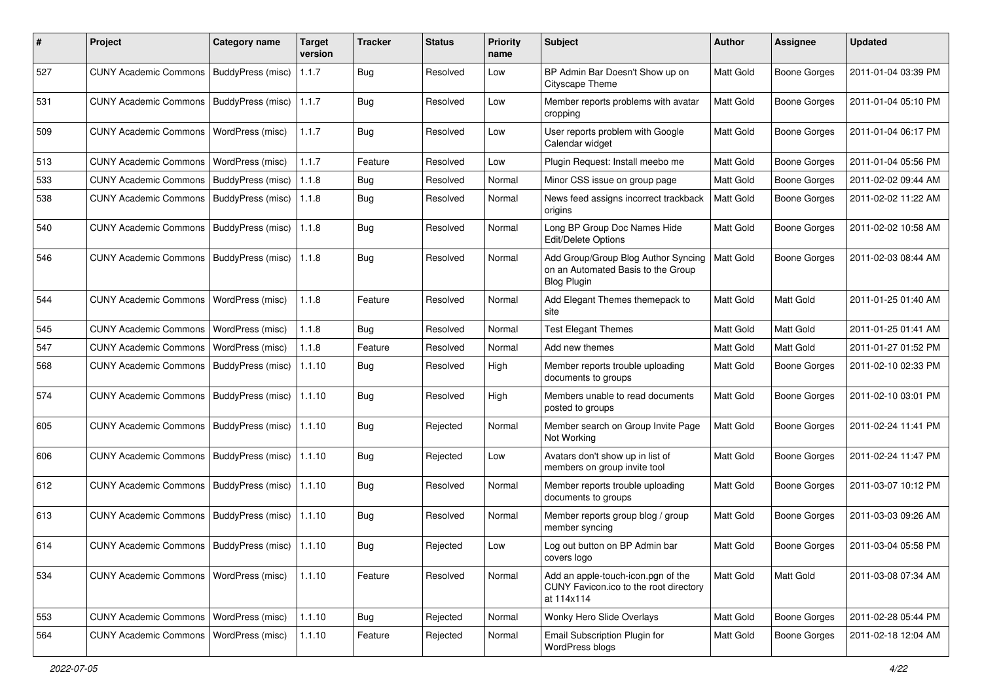| #   | Project                                            | <b>Category name</b>     | <b>Target</b><br>version | <b>Tracker</b> | <b>Status</b> | <b>Priority</b><br>name | Subject                                                                                         | Author    | <b>Assignee</b>     | <b>Updated</b>      |
|-----|----------------------------------------------------|--------------------------|--------------------------|----------------|---------------|-------------------------|-------------------------------------------------------------------------------------------------|-----------|---------------------|---------------------|
| 527 | CUNY Academic Commons   BuddyPress (misc)          |                          | 1.1.7                    | Bug            | Resolved      | Low                     | BP Admin Bar Doesn't Show up on<br>Cityscape Theme                                              | Matt Gold | <b>Boone Gorges</b> | 2011-01-04 03:39 PM |
| 531 | CUNY Academic Commons   BuddyPress (misc)          |                          | 1.1.7                    | Bug            | Resolved      | Low                     | Member reports problems with avatar<br>cropping                                                 | Matt Gold | <b>Boone Gorges</b> | 2011-01-04 05:10 PM |
| 509 | <b>CUNY Academic Commons</b>                       | WordPress (misc)         | 1.1.7                    | <b>Bug</b>     | Resolved      | Low                     | User reports problem with Google<br>Calendar widget                                             | Matt Gold | Boone Gorges        | 2011-01-04 06:17 PM |
| 513 | <b>CUNY Academic Commons</b>                       | WordPress (misc)         | 1.1.7                    | Feature        | Resolved      | Low                     | Plugin Request: Install meebo me                                                                | Matt Gold | <b>Boone Gorges</b> | 2011-01-04 05:56 PM |
| 533 | <b>CUNY Academic Commons</b>                       | BuddyPress (misc)        | 1.1.8                    | Bug            | Resolved      | Normal                  | Minor CSS issue on group page                                                                   | Matt Gold | <b>Boone Gorges</b> | 2011-02-02 09:44 AM |
| 538 | CUNY Academic Commons   BuddyPress (misc)          |                          | 1.1.8                    | Bug            | Resolved      | Normal                  | News feed assigns incorrect trackback<br>origins                                                | Matt Gold | Boone Gorges        | 2011-02-02 11:22 AM |
| 540 | <b>CUNY Academic Commons</b>                       | BuddyPress (misc)        | 1.1.8                    | Bug            | Resolved      | Normal                  | Long BP Group Doc Names Hide<br>Edit/Delete Options                                             | Matt Gold | Boone Gorges        | 2011-02-02 10:58 AM |
| 546 | <b>CUNY Academic Commons</b>                       | <b>BuddyPress (misc)</b> | 1.1.8                    | Bug            | Resolved      | Normal                  | Add Group/Group Blog Author Syncing<br>on an Automated Basis to the Group<br><b>Blog Plugin</b> | Matt Gold | Boone Gorges        | 2011-02-03 08:44 AM |
| 544 | <b>CUNY Academic Commons</b>                       | WordPress (misc)         | 1.1.8                    | Feature        | Resolved      | Normal                  | Add Elegant Themes themepack to<br>site                                                         | Matt Gold | Matt Gold           | 2011-01-25 01:40 AM |
| 545 | <b>CUNY Academic Commons</b>                       | WordPress (misc)         | 1.1.8                    | Bug            | Resolved      | Normal                  | <b>Test Elegant Themes</b>                                                                      | Matt Gold | Matt Gold           | 2011-01-25 01:41 AM |
| 547 | <b>CUNY Academic Commons</b>                       | WordPress (misc)         | 1.1.8                    | Feature        | Resolved      | Normal                  | Add new themes                                                                                  | Matt Gold | Matt Gold           | 2011-01-27 01:52 PM |
| 568 | <b>CUNY Academic Commons</b>                       | BuddyPress (misc)        | 1.1.10                   | Bug            | Resolved      | High                    | Member reports trouble uploading<br>documents to groups                                         | Matt Gold | Boone Gorges        | 2011-02-10 02:33 PM |
| 574 | <b>CUNY Academic Commons</b>                       | BuddyPress (misc)        | 1.1.10                   | Bug            | Resolved      | High                    | Members unable to read documents<br>posted to groups                                            | Matt Gold | <b>Boone Gorges</b> | 2011-02-10 03:01 PM |
| 605 | <b>CUNY Academic Commons</b>                       | BuddyPress (misc)        | 1.1.10                   | Bug            | Rejected      | Normal                  | Member search on Group Invite Page<br>Not Working                                               | Matt Gold | Boone Gorges        | 2011-02-24 11:41 PM |
| 606 | CUNY Academic Commons   BuddyPress (misc)          |                          | 1.1.10                   | Bug            | Rejected      | Low                     | Avatars don't show up in list of<br>members on group invite tool                                | Matt Gold | <b>Boone Gorges</b> | 2011-02-24 11:47 PM |
| 612 | CUNY Academic Commons   BuddyPress (misc)          |                          | 1.1.10                   | <b>Bug</b>     | Resolved      | Normal                  | Member reports trouble uploading<br>documents to groups                                         | Matt Gold | Boone Gorges        | 2011-03-07 10:12 PM |
| 613 | CUNY Academic Commons   BuddyPress (misc)          |                          | 1.1.10                   | Bug            | Resolved      | Normal                  | Member reports group blog / group<br>member syncing                                             | Matt Gold | Boone Gorges        | 2011-03-03 09:26 AM |
| 614 | CUNY Academic Commons   BuddyPress (misc)   1.1.10 |                          |                          | Bug            | Rejected      | Low                     | Log out button on BP Admin bar<br>covers logo                                                   | Matt Gold | Boone Gorges        | 2011-03-04 05:58 PM |
| 534 | CUNY Academic Commons   WordPress (misc)           |                          | 1.1.10                   | Feature        | Resolved      | Normal                  | Add an apple-touch-icon.pgn of the<br>CUNY Favicon.ico to the root directory<br>at 114x114      | Matt Gold | Matt Gold           | 2011-03-08 07:34 AM |
| 553 | <b>CUNY Academic Commons</b>                       | WordPress (misc)         | 1.1.10                   | Bug            | Rejected      | Normal                  | Wonky Hero Slide Overlays                                                                       | Matt Gold | <b>Boone Gorges</b> | 2011-02-28 05:44 PM |
| 564 | <b>CUNY Academic Commons</b>                       | WordPress (misc)         | 1.1.10                   | Feature        | Rejected      | Normal                  | Email Subscription Plugin for<br>WordPress blogs                                                | Matt Gold | <b>Boone Gorges</b> | 2011-02-18 12:04 AM |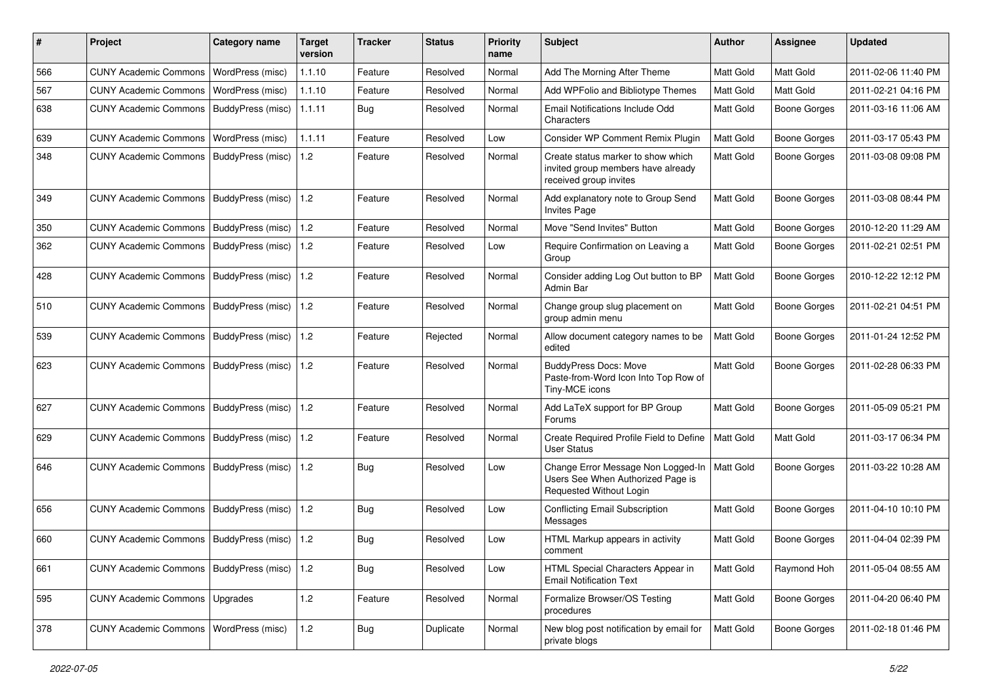| #   | Project                                   | <b>Category name</b> | <b>Target</b><br>version | <b>Tracker</b> | <b>Status</b> | <b>Priority</b><br>name | <b>Subject</b>                                                                                     | <b>Author</b>    | <b>Assignee</b>     | <b>Updated</b>      |
|-----|-------------------------------------------|----------------------|--------------------------|----------------|---------------|-------------------------|----------------------------------------------------------------------------------------------------|------------------|---------------------|---------------------|
| 566 | <b>CUNY Academic Commons</b>              | WordPress (misc)     | 1.1.10                   | Feature        | Resolved      | Normal                  | Add The Morning After Theme                                                                        | Matt Gold        | Matt Gold           | 2011-02-06 11:40 PM |
| 567 | <b>CUNY Academic Commons</b>              | WordPress (misc)     | 1.1.10                   | Feature        | Resolved      | Normal                  | Add WPFolio and Bibliotype Themes                                                                  | Matt Gold        | Matt Gold           | 2011-02-21 04:16 PM |
| 638 | <b>CUNY Academic Commons</b>              | BuddyPress (misc)    | 1.1.11                   | Bug            | Resolved      | Normal                  | Email Notifications Include Odd<br>Characters                                                      | Matt Gold        | <b>Boone Gorges</b> | 2011-03-16 11:06 AM |
| 639 | <b>CUNY Academic Commons</b>              | WordPress (misc)     | 1.1.11                   | Feature        | Resolved      | Low                     | Consider WP Comment Remix Plugin                                                                   | Matt Gold        | <b>Boone Gorges</b> | 2011-03-17 05:43 PM |
| 348 | <b>CUNY Academic Commons</b>              | BuddyPress (misc)    | 1.2                      | Feature        | Resolved      | Normal                  | Create status marker to show which<br>invited group members have already<br>received group invites | Matt Gold        | <b>Boone Gorges</b> | 2011-03-08 09:08 PM |
| 349 | CUNY Academic Commons   BuddyPress (misc) |                      | 1.2                      | Feature        | Resolved      | Normal                  | Add explanatory note to Group Send<br><b>Invites Page</b>                                          | <b>Matt Gold</b> | <b>Boone Gorges</b> | 2011-03-08 08:44 PM |
| 350 | <b>CUNY Academic Commons</b>              | BuddyPress (misc)    | 1.2                      | Feature        | Resolved      | Normal                  | Move "Send Invites" Button                                                                         | Matt Gold        | <b>Boone Gorges</b> | 2010-12-20 11:29 AM |
| 362 | <b>CUNY Academic Commons</b>              | BuddyPress (misc)    | $\vert$ 1.2              | Feature        | Resolved      | Low                     | Require Confirmation on Leaving a<br>Group                                                         | Matt Gold        | Boone Gorges        | 2011-02-21 02:51 PM |
| 428 | <b>CUNY Academic Commons</b>              | BuddyPress (misc)    | $\vert$ 1.2              | Feature        | Resolved      | Normal                  | Consider adding Log Out button to BP<br>Admin Bar                                                  | Matt Gold        | Boone Gorges        | 2010-12-22 12:12 PM |
| 510 | <b>CUNY Academic Commons</b>              | BuddyPress (misc)    | $\vert$ 1.2              | Feature        | Resolved      | Normal                  | Change group slug placement on<br>group admin menu                                                 | Matt Gold        | Boone Gorges        | 2011-02-21 04:51 PM |
| 539 | CUNY Academic Commons   BuddyPress (misc) |                      | $\vert$ 1.2              | Feature        | Rejected      | Normal                  | Allow document category names to be<br>edited                                                      | Matt Gold        | Boone Gorges        | 2011-01-24 12:52 PM |
| 623 | CUNY Academic Commons   BuddyPress (misc) |                      | 1.2                      | Feature        | Resolved      | Normal                  | <b>BuddyPress Docs: Move</b><br>Paste-from-Word Icon Into Top Row of<br>Tiny-MCE icons             | Matt Gold        | Boone Gorges        | 2011-02-28 06:33 PM |
| 627 | <b>CUNY Academic Commons</b>              | BuddyPress (misc)    | 1.2                      | Feature        | Resolved      | Normal                  | Add LaTeX support for BP Group<br>Forums                                                           | Matt Gold        | Boone Gorges        | 2011-05-09 05:21 PM |
| 629 | <b>CUNY Academic Commons</b>              | BuddyPress (misc)    | 1.2                      | Feature        | Resolved      | Normal                  | Create Required Profile Field to Define<br><b>User Status</b>                                      | Matt Gold        | Matt Gold           | 2011-03-17 06:34 PM |
| 646 | <b>CUNY Academic Commons</b>              | BuddyPress (misc)    | $\vert$ 1.2              | <b>Bug</b>     | Resolved      | Low                     | Change Error Message Non Logged-In<br>Users See When Authorized Page is<br>Requested Without Login | Matt Gold        | Boone Gorges        | 2011-03-22 10:28 AM |
| 656 | <b>CUNY Academic Commons</b>              | BuddyPress (misc)    | 1.2                      | <b>Bug</b>     | Resolved      | Low                     | <b>Conflicting Email Subscription</b><br>Messages                                                  | Matt Gold        | Boone Gorges        | 2011-04-10 10:10 PM |
| 660 | CUNY Academic Commons   BuddyPress (misc) |                      | $\vert$ 1.2              | <b>Bug</b>     | Resolved      | Low                     | HTML Markup appears in activity<br>comment                                                         | Matt Gold        | Boone Gorges        | 2011-04-04 02:39 PM |
| 661 | CUNY Academic Commons   BuddyPress (misc) |                      | $\vert$ 1.2              | Bug            | Resolved      | Low                     | HTML Special Characters Appear in<br><b>Email Notification Text</b>                                | Matt Gold        | Raymond Hoh         | 2011-05-04 08:55 AM |
| 595 | <b>CUNY Academic Commons</b>              | Upgrades             | 1.2                      | Feature        | Resolved      | Normal                  | Formalize Browser/OS Testing<br>procedures                                                         | Matt Gold        | Boone Gorges        | 2011-04-20 06:40 PM |
| 378 | <b>CUNY Academic Commons</b>              | WordPress (misc)     | $1.2$                    | Bug            | Duplicate     | Normal                  | New blog post notification by email for<br>private blogs                                           | Matt Gold        | Boone Gorges        | 2011-02-18 01:46 PM |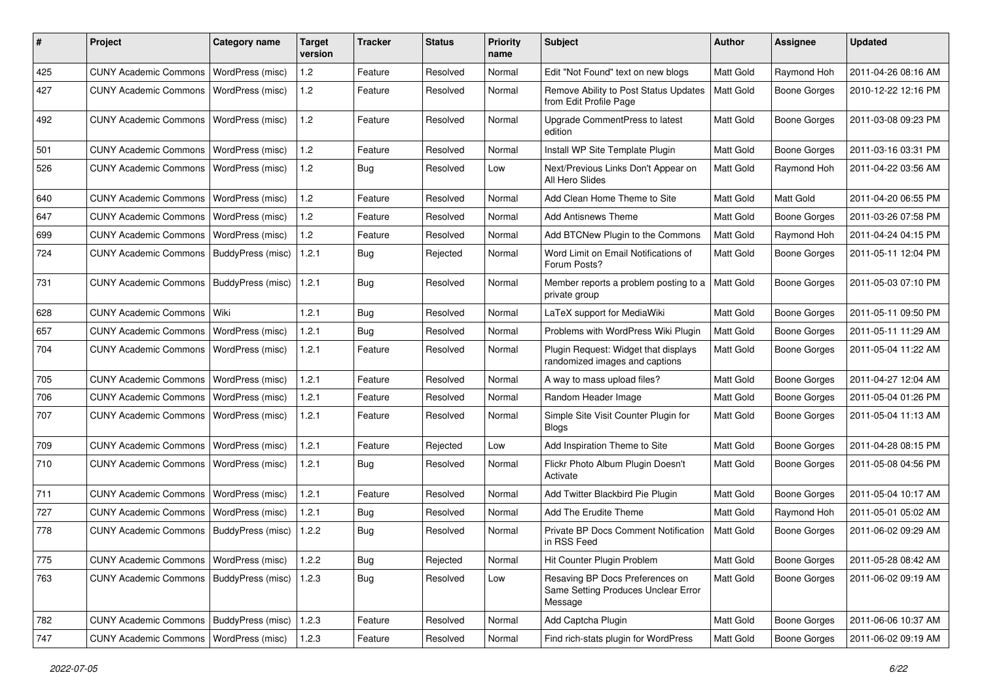| #   | Project                                   | Category name           | <b>Target</b><br>version | <b>Tracker</b> | <b>Status</b> | <b>Priority</b><br>name | Subject                                                                           | Author           | <b>Assignee</b>     | <b>Updated</b>      |
|-----|-------------------------------------------|-------------------------|--------------------------|----------------|---------------|-------------------------|-----------------------------------------------------------------------------------|------------------|---------------------|---------------------|
| 425 | <b>CUNY Academic Commons</b>              | WordPress (misc)        | 1.2                      | Feature        | Resolved      | Normal                  | Edit "Not Found" text on new blogs                                                | Matt Gold        | Raymond Hoh         | 2011-04-26 08:16 AM |
| 427 | <b>CUNY Academic Commons</b>              | WordPress (misc)        | 1.2                      | Feature        | Resolved      | Normal                  | Remove Ability to Post Status Updates<br>from Edit Profile Page                   | <b>Matt Gold</b> | <b>Boone Gorges</b> | 2010-12-22 12:16 PM |
| 492 | <b>CUNY Academic Commons</b>              | WordPress (misc)        | 1.2                      | Feature        | Resolved      | Normal                  | Upgrade CommentPress to latest<br>edition                                         | Matt Gold        | <b>Boone Gorges</b> | 2011-03-08 09:23 PM |
| 501 | <b>CUNY Academic Commons</b>              | WordPress (misc)        | 1.2                      | Feature        | Resolved      | Normal                  | Install WP Site Template Plugin                                                   | Matt Gold        | <b>Boone Gorges</b> | 2011-03-16 03:31 PM |
| 526 | <b>CUNY Academic Commons</b>              | WordPress (misc)        | 1.2                      | <b>Bug</b>     | Resolved      | Low                     | Next/Previous Links Don't Appear on<br>All Hero Slides                            | Matt Gold        | Raymond Hoh         | 2011-04-22 03:56 AM |
| 640 | <b>CUNY Academic Commons</b>              | WordPress (misc)        | 1.2                      | Feature        | Resolved      | Normal                  | Add Clean Home Theme to Site                                                      | Matt Gold        | Matt Gold           | 2011-04-20 06:55 PM |
| 647 | <b>CUNY Academic Commons</b>              | WordPress (misc)        | 1.2                      | Feature        | Resolved      | Normal                  | <b>Add Antisnews Theme</b>                                                        | Matt Gold        | <b>Boone Gorges</b> | 2011-03-26 07:58 PM |
| 699 | <b>CUNY Academic Commons</b>              | WordPress (misc)        | 1.2                      | Feature        | Resolved      | Normal                  | Add BTCNew Plugin to the Commons                                                  | Matt Gold        | Raymond Hoh         | 2011-04-24 04:15 PM |
| 724 | <b>CUNY Academic Commons</b>              | BuddyPress (misc)       | 1.2.1                    | <b>Bug</b>     | Rejected      | Normal                  | Word Limit on Email Notifications of<br>Forum Posts?                              | Matt Gold        | Boone Gorges        | 2011-05-11 12:04 PM |
| 731 | <b>CUNY Academic Commons</b>              | BuddyPress (misc)       | 1.2.1                    | <b>Bug</b>     | Resolved      | Normal                  | Member reports a problem posting to a   Matt Gold<br>private group                |                  | <b>Boone Gorges</b> | 2011-05-03 07:10 PM |
| 628 | <b>CUNY Academic Commons</b>              | Wiki                    | 1.2.1                    | <b>Bug</b>     | Resolved      | Normal                  | LaTeX support for MediaWiki                                                       | Matt Gold        | Boone Gorges        | 2011-05-11 09:50 PM |
| 657 | <b>CUNY Academic Commons</b>              | WordPress (misc)        | 1.2.1                    | <b>Bug</b>     | Resolved      | Normal                  | Problems with WordPress Wiki Plugin                                               | <b>Matt Gold</b> | Boone Gorges        | 2011-05-11 11:29 AM |
| 704 | <b>CUNY Academic Commons</b>              | WordPress (misc)        | 1.2.1                    | Feature        | Resolved      | Normal                  | Plugin Request: Widget that displays<br>randomized images and captions            | Matt Gold        | <b>Boone Gorges</b> | 2011-05-04 11:22 AM |
| 705 | <b>CUNY Academic Commons</b>              | WordPress (misc)        | 1.2.1                    | Feature        | Resolved      | Normal                  | A way to mass upload files?                                                       | Matt Gold        | <b>Boone Gorges</b> | 2011-04-27 12:04 AM |
| 706 | <b>CUNY Academic Commons</b>              | WordPress (misc)        | 1.2.1                    | Feature        | Resolved      | Normal                  | Random Header Image                                                               | Matt Gold        | <b>Boone Gorges</b> | 2011-05-04 01:26 PM |
| 707 | <b>CUNY Academic Commons</b>              | <b>WordPress (misc)</b> | 1.2.1                    | Feature        | Resolved      | Normal                  | Simple Site Visit Counter Plugin for<br><b>Blogs</b>                              | Matt Gold        | Boone Gorges        | 2011-05-04 11:13 AM |
| 709 | <b>CUNY Academic Commons</b>              | WordPress (misc)        | 1.2.1                    | Feature        | Rejected      | Low                     | Add Inspiration Theme to Site                                                     | Matt Gold        | Boone Gorges        | 2011-04-28 08:15 PM |
| 710 | <b>CUNY Academic Commons</b>              | <b>WordPress (misc)</b> | 1.2.1                    | Bug            | Resolved      | Normal                  | Flickr Photo Album Plugin Doesn't<br>Activate                                     | <b>Matt Gold</b> | Boone Gorges        | 2011-05-08 04:56 PM |
| 711 | <b>CUNY Academic Commons</b>              | WordPress (misc)        | 1.2.1                    | Feature        | Resolved      | Normal                  | Add Twitter Blackbird Pie Plugin                                                  | Matt Gold        | Boone Gorges        | 2011-05-04 10:17 AM |
| 727 | <b>CUNY Academic Commons</b>              | WordPress (misc)        | 1.2.1                    | Bug            | Resolved      | Normal                  | Add The Erudite Theme                                                             | Matt Gold        | Raymond Hoh         | 2011-05-01 05:02 AM |
| 778 | <b>CUNY Academic Commons</b>              | BuddyPress (misc)       | 1.2.2                    | <b>Bug</b>     | Resolved      | Normal                  | Private BP Docs Comment Notification<br>in RSS Feed                               | <b>Matt Gold</b> | <b>Boone Gorges</b> | 2011-06-02 09:29 AM |
| 775 | CUNY Academic Commons   WordPress (misc)  |                         | 1.2.2                    | Bug            | Rejected      | Normal                  | Hit Counter Plugin Problem                                                        | Matt Gold        | Boone Gorges        | 2011-05-28 08:42 AM |
| 763 | CUNY Academic Commons   BuddyPress (misc) |                         | 1.2.3                    | <b>Bug</b>     | Resolved      | Low                     | Resaving BP Docs Preferences on<br>Same Setting Produces Unclear Error<br>Message | Matt Gold        | <b>Boone Gorges</b> | 2011-06-02 09:19 AM |
| 782 | <b>CUNY Academic Commons</b>              | BuddyPress (misc)       | 1.2.3                    | Feature        | Resolved      | Normal                  | Add Captcha Plugin                                                                | Matt Gold        | <b>Boone Gorges</b> | 2011-06-06 10:37 AM |
| 747 | CUNY Academic Commons   WordPress (misc)  |                         | 1.2.3                    | Feature        | Resolved      | Normal                  | Find rich-stats plugin for WordPress                                              | Matt Gold        | <b>Boone Gorges</b> | 2011-06-02 09:19 AM |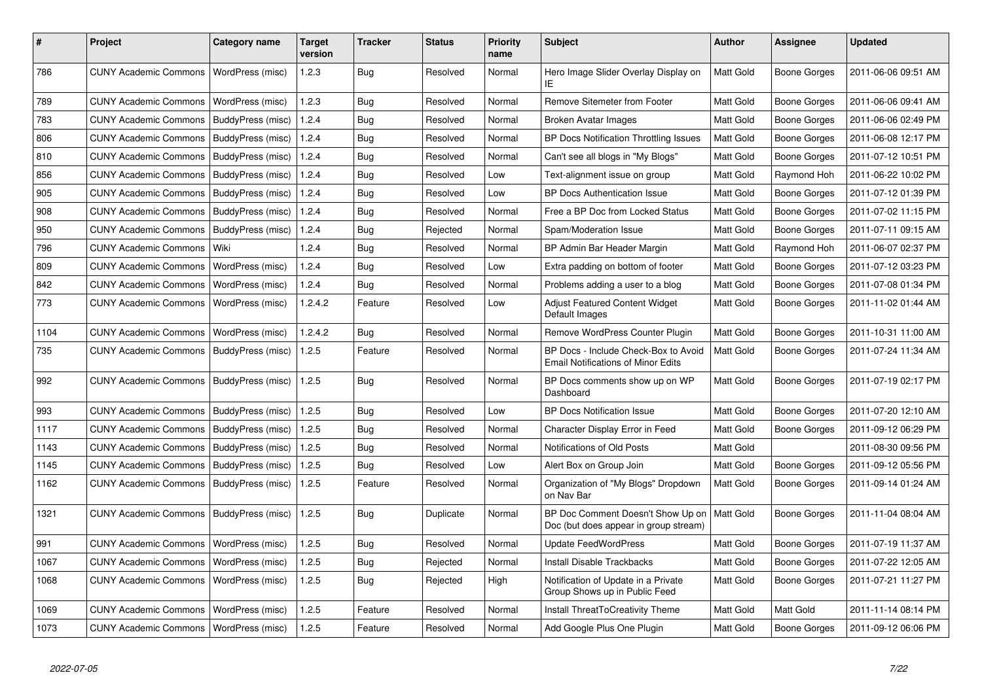| #    | <b>Project</b>               | Category name     | <b>Target</b><br>version | <b>Tracker</b> | <b>Status</b> | <b>Priority</b><br>name | <b>Subject</b>                                                                    | <b>Author</b> | <b>Assignee</b>     | <b>Updated</b>      |
|------|------------------------------|-------------------|--------------------------|----------------|---------------|-------------------------|-----------------------------------------------------------------------------------|---------------|---------------------|---------------------|
| 786  | <b>CUNY Academic Commons</b> | WordPress (misc)  | 1.2.3                    | Bug            | Resolved      | Normal                  | Hero Image Slider Overlay Display on<br>IE                                        | Matt Gold     | <b>Boone Gorges</b> | 2011-06-06 09:51 AM |
| 789  | <b>CUNY Academic Commons</b> | WordPress (misc)  | 1.2.3                    | Bug            | Resolved      | Normal                  | <b>Remove Sitemeter from Footer</b>                                               | Matt Gold     | <b>Boone Gorges</b> | 2011-06-06 09:41 AM |
| 783  | <b>CUNY Academic Commons</b> | BuddyPress (misc) | 1.2.4                    | Bug            | Resolved      | Normal                  | Broken Avatar Images                                                              | Matt Gold     | Boone Gorges        | 2011-06-06 02:49 PM |
| 806  | <b>CUNY Academic Commons</b> | BuddyPress (misc) | 1.2.4                    | Bug            | Resolved      | Normal                  | <b>BP Docs Notification Throttling Issues</b>                                     | Matt Gold     | Boone Gorges        | 2011-06-08 12:17 PM |
| 810  | <b>CUNY Academic Commons</b> | BuddyPress (misc) | 1.2.4                    | Bug            | Resolved      | Normal                  | Can't see all blogs in "My Blogs"                                                 | Matt Gold     | Boone Gorges        | 2011-07-12 10:51 PM |
| 856  | <b>CUNY Academic Commons</b> | BuddyPress (misc) | 1.2.4                    | Bug            | Resolved      | Low                     | Text-alignment issue on group                                                     | Matt Gold     | Raymond Hoh         | 2011-06-22 10:02 PM |
| 905  | <b>CUNY Academic Commons</b> | BuddyPress (misc) | 1.2.4                    | Bug            | Resolved      | Low                     | <b>BP Docs Authentication Issue</b>                                               | Matt Gold     | Boone Gorges        | 2011-07-12 01:39 PM |
| 908  | <b>CUNY Academic Commons</b> | BuddyPress (misc) | 1.2.4                    | Bug            | Resolved      | Normal                  | Free a BP Doc from Locked Status                                                  | Matt Gold     | Boone Gorges        | 2011-07-02 11:15 PM |
| 950  | <b>CUNY Academic Commons</b> | BuddyPress (misc) | 1.2.4                    | Bug            | Rejected      | Normal                  | Spam/Moderation Issue                                                             | Matt Gold     | <b>Boone Gorges</b> | 2011-07-11 09:15 AM |
| 796  | <b>CUNY Academic Commons</b> | Wiki              | 1.2.4                    | Bug            | Resolved      | Normal                  | BP Admin Bar Header Margin                                                        | Matt Gold     | Raymond Hoh         | 2011-06-07 02:37 PM |
| 809  | <b>CUNY Academic Commons</b> | WordPress (misc)  | 1.2.4                    | Bug            | Resolved      | Low                     | Extra padding on bottom of footer                                                 | Matt Gold     | Boone Gorges        | 2011-07-12 03:23 PM |
| 842  | <b>CUNY Academic Commons</b> | WordPress (misc)  | 1.2.4                    | Bug            | Resolved      | Normal                  | Problems adding a user to a blog                                                  | Matt Gold     | <b>Boone Gorges</b> | 2011-07-08 01:34 PM |
| 773  | <b>CUNY Academic Commons</b> | WordPress (misc)  | 1.2.4.2                  | Feature        | Resolved      | Low                     | Adjust Featured Content Widget<br>Default Images                                  | Matt Gold     | <b>Boone Gorges</b> | 2011-11-02 01:44 AM |
| 1104 | <b>CUNY Academic Commons</b> | WordPress (misc)  | 1.2.4.2                  | Bug            | Resolved      | Normal                  | Remove WordPress Counter Plugin                                                   | Matt Gold     | Boone Gorges        | 2011-10-31 11:00 AM |
| 735  | <b>CUNY Academic Commons</b> | BuddyPress (misc) | 1.2.5                    | Feature        | Resolved      | Normal                  | BP Docs - Include Check-Box to Avoid<br><b>Email Notifications of Minor Edits</b> | Matt Gold     | Boone Gorges        | 2011-07-24 11:34 AM |
| 992  | <b>CUNY Academic Commons</b> | BuddyPress (misc) | 1.2.5                    | <b>Bug</b>     | Resolved      | Normal                  | BP Docs comments show up on WP<br>Dashboard                                       | Matt Gold     | Boone Gorges        | 2011-07-19 02:17 PM |
| 993  | <b>CUNY Academic Commons</b> | BuddyPress (misc) | 1.2.5                    | Bug            | Resolved      | Low                     | <b>BP Docs Notification Issue</b>                                                 | Matt Gold     | Boone Gorges        | 2011-07-20 12:10 AM |
| 1117 | <b>CUNY Academic Commons</b> | BuddyPress (misc) | 1.2.5                    | Bug            | Resolved      | Normal                  | Character Display Error in Feed                                                   | Matt Gold     | <b>Boone Gorges</b> | 2011-09-12 06:29 PM |
| 1143 | <b>CUNY Academic Commons</b> | BuddyPress (misc) | 1.2.5                    | Bug            | Resolved      | Normal                  | Notifications of Old Posts                                                        | Matt Gold     |                     | 2011-08-30 09:56 PM |
| 1145 | <b>CUNY Academic Commons</b> | BuddyPress (misc) | 1.2.5                    | Bug            | Resolved      | Low                     | Alert Box on Group Join                                                           | Matt Gold     | Boone Gorges        | 2011-09-12 05:56 PM |
| 1162 | <b>CUNY Academic Commons</b> | BuddyPress (misc) | 1.2.5                    | Feature        | Resolved      | Normal                  | Organization of "My Blogs" Dropdown<br>on Nav Bar                                 | Matt Gold     | Boone Gorges        | 2011-09-14 01:24 AM |
| 1321 | <b>CUNY Academic Commons</b> | BuddyPress (misc) | 1.2.5                    | Bug            | Duplicate     | Normal                  | BP Doc Comment Doesn't Show Up on<br>Doc (but does appear in group stream)        | Matt Gold     | Boone Gorges        | 2011-11-04 08:04 AM |
| 991  | <b>CUNY Academic Commons</b> | WordPress (misc)  | 1.2.5                    | Bug            | Resolved      | Normal                  | <b>Update FeedWordPress</b>                                                       | Matt Gold     | <b>Boone Gorges</b> | 2011-07-19 11:37 AM |
| 1067 | <b>CUNY Academic Commons</b> | WordPress (misc)  | 1.2.5                    | Bug            | Rejected      | Normal                  | Install Disable Trackbacks                                                        | Matt Gold     | <b>Boone Gorges</b> | 2011-07-22 12:05 AM |
| 1068 | <b>CUNY Academic Commons</b> | WordPress (misc)  | 1.2.5                    | <b>Bug</b>     | Rejected      | High                    | Notification of Update in a Private<br>Group Shows up in Public Feed              | Matt Gold     | Boone Gorges        | 2011-07-21 11:27 PM |
| 1069 | <b>CUNY Academic Commons</b> | WordPress (misc)  | 1.2.5                    | Feature        | Resolved      | Normal                  | Install ThreatToCreativity Theme                                                  | Matt Gold     | Matt Gold           | 2011-11-14 08:14 PM |
| 1073 | <b>CUNY Academic Commons</b> | WordPress (misc)  | 1.2.5                    | Feature        | Resolved      | Normal                  | Add Google Plus One Plugin                                                        | Matt Gold     | <b>Boone Gorges</b> | 2011-09-12 06:06 PM |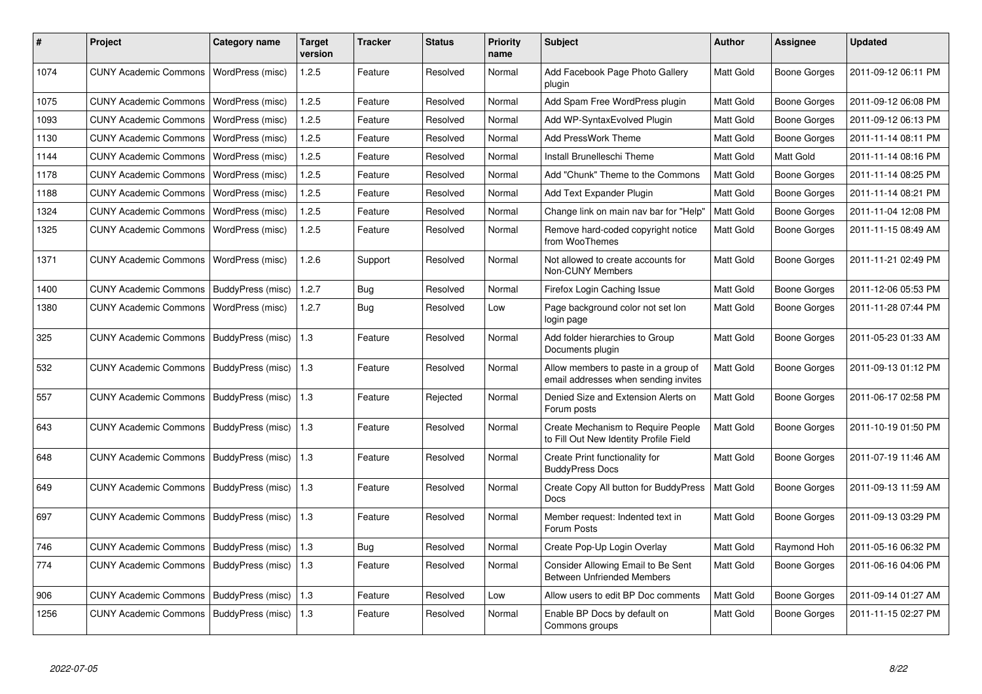| #    | <b>Project</b>               | Category name            | <b>Target</b><br>version | <b>Tracker</b> | <b>Status</b> | <b>Priority</b><br>name | <b>Subject</b>                                                                      | Author           | Assignee     | <b>Updated</b>      |
|------|------------------------------|--------------------------|--------------------------|----------------|---------------|-------------------------|-------------------------------------------------------------------------------------|------------------|--------------|---------------------|
| 1074 | <b>CUNY Academic Commons</b> | WordPress (misc)         | 1.2.5                    | Feature        | Resolved      | Normal                  | Add Facebook Page Photo Gallery<br>plugin                                           | Matt Gold        | Boone Gorges | 2011-09-12 06:11 PM |
| 1075 | <b>CUNY Academic Commons</b> | WordPress (misc)         | 1.2.5                    | Feature        | Resolved      | Normal                  | Add Spam Free WordPress plugin                                                      | Matt Gold        | Boone Gorges | 2011-09-12 06:08 PM |
| 1093 | <b>CUNY Academic Commons</b> | WordPress (misc)         | 1.2.5                    | Feature        | Resolved      | Normal                  | Add WP-SyntaxEvolved Plugin                                                         | Matt Gold        | Boone Gorges | 2011-09-12 06:13 PM |
| 1130 | <b>CUNY Academic Commons</b> | WordPress (misc)         | 1.2.5                    | Feature        | Resolved      | Normal                  | Add PressWork Theme                                                                 | Matt Gold        | Boone Gorges | 2011-11-14 08:11 PM |
| 1144 | <b>CUNY Academic Commons</b> | WordPress (misc)         | 1.2.5                    | Feature        | Resolved      | Normal                  | Install Brunelleschi Theme                                                          | <b>Matt Gold</b> | Matt Gold    | 2011-11-14 08:16 PM |
| 1178 | <b>CUNY Academic Commons</b> | WordPress (misc)         | 1.2.5                    | Feature        | Resolved      | Normal                  | Add "Chunk" Theme to the Commons                                                    | Matt Gold        | Boone Gorges | 2011-11-14 08:25 PM |
| 1188 | <b>CUNY Academic Commons</b> | WordPress (misc)         | 1.2.5                    | Feature        | Resolved      | Normal                  | Add Text Expander Plugin                                                            | Matt Gold        | Boone Gorges | 2011-11-14 08:21 PM |
| 1324 | <b>CUNY Academic Commons</b> | WordPress (misc)         | 1.2.5                    | Feature        | Resolved      | Normal                  | Change link on main nav bar for "Help"                                              | Matt Gold        | Boone Gorges | 2011-11-04 12:08 PM |
| 1325 | <b>CUNY Academic Commons</b> | WordPress (misc)         | 1.2.5                    | Feature        | Resolved      | Normal                  | Remove hard-coded copyright notice<br>from WooThemes                                | Matt Gold        | Boone Gorges | 2011-11-15 08:49 AM |
| 1371 | <b>CUNY Academic Commons</b> | WordPress (misc)         | 1.2.6                    | Support        | Resolved      | Normal                  | Not allowed to create accounts for<br><b>Non-CUNY Members</b>                       | <b>Matt Gold</b> | Boone Gorges | 2011-11-21 02:49 PM |
| 1400 | <b>CUNY Academic Commons</b> | BuddyPress (misc)        | 1.2.7                    | <b>Bug</b>     | Resolved      | Normal                  | Firefox Login Caching Issue                                                         | Matt Gold        | Boone Gorges | 2011-12-06 05:53 PM |
| 1380 | <b>CUNY Academic Commons</b> | WordPress (misc)         | 1.2.7                    | <b>Bug</b>     | Resolved      | Low                     | Page background color not set lon<br>login page                                     | Matt Gold        | Boone Gorges | 2011-11-28 07:44 PM |
| 325  | <b>CUNY Academic Commons</b> | BuddyPress (misc)        | 1.3                      | Feature        | Resolved      | Normal                  | Add folder hierarchies to Group<br>Documents plugin                                 | <b>Matt Gold</b> | Boone Gorges | 2011-05-23 01:33 AM |
| 532  | <b>CUNY Academic Commons</b> | BuddyPress (misc)        | 1.3                      | Feature        | Resolved      | Normal                  | Allow members to paste in a group of<br>email addresses when sending invites        | Matt Gold        | Boone Gorges | 2011-09-13 01:12 PM |
| 557  | <b>CUNY Academic Commons</b> | BuddyPress (misc)        | 1.3                      | Feature        | Rejected      | Normal                  | Denied Size and Extension Alerts on<br>Forum posts                                  | Matt Gold        | Boone Gorges | 2011-06-17 02:58 PM |
| 643  | <b>CUNY Academic Commons</b> | BuddyPress (misc)        | 1.3                      | Feature        | Resolved      | Normal                  | <b>Create Mechanism to Require People</b><br>to Fill Out New Identity Profile Field | Matt Gold        | Boone Gorges | 2011-10-19 01:50 PM |
| 648  | CUNY Academic Commons        | BuddyPress (misc)        | 1.3                      | Feature        | Resolved      | Normal                  | Create Print functionality for<br><b>BuddvPress Docs</b>                            | Matt Gold        | Boone Gorges | 2011-07-19 11:46 AM |
| 649  | <b>CUNY Academic Commons</b> | BuddyPress (misc)        | 1.3                      | Feature        | Resolved      | Normal                  | Create Copy All button for BuddyPress<br>Docs                                       | Matt Gold        | Boone Gorges | 2011-09-13 11:59 AM |
| 697  | <b>CUNY Academic Commons</b> | BuddyPress (misc)        | 1.3                      | Feature        | Resolved      | Normal                  | Member request: Indented text in<br>Forum Posts                                     | Matt Gold        | Boone Gorges | 2011-09-13 03:29 PM |
| 746  | <b>CUNY Academic Commons</b> | <b>BuddyPress (misc)</b> | 1.3                      | <b>Bug</b>     | Resolved      | Normal                  | Create Pop-Up Login Overlay                                                         | Matt Gold        | Raymond Hoh  | 2011-05-16 06:32 PM |
| 774  | <b>CUNY Academic Commons</b> | BuddyPress (misc)        | 1.3                      | Feature        | Resolved      | Normal                  | Consider Allowing Email to Be Sent<br><b>Between Unfriended Members</b>             | <b>Matt Gold</b> | Boone Gorges | 2011-06-16 04:06 PM |
| 906  | <b>CUNY Academic Commons</b> | BuddyPress (misc)        | 1.3                      | Feature        | Resolved      | Low                     | Allow users to edit BP Doc comments                                                 | <b>Matt Gold</b> | Boone Gorges | 2011-09-14 01:27 AM |
| 1256 | <b>CUNY Academic Commons</b> | BuddyPress (misc)        | 1.3                      | Feature        | Resolved      | Normal                  | Enable BP Docs by default on<br>Commons groups                                      | Matt Gold        | Boone Gorges | 2011-11-15 02:27 PM |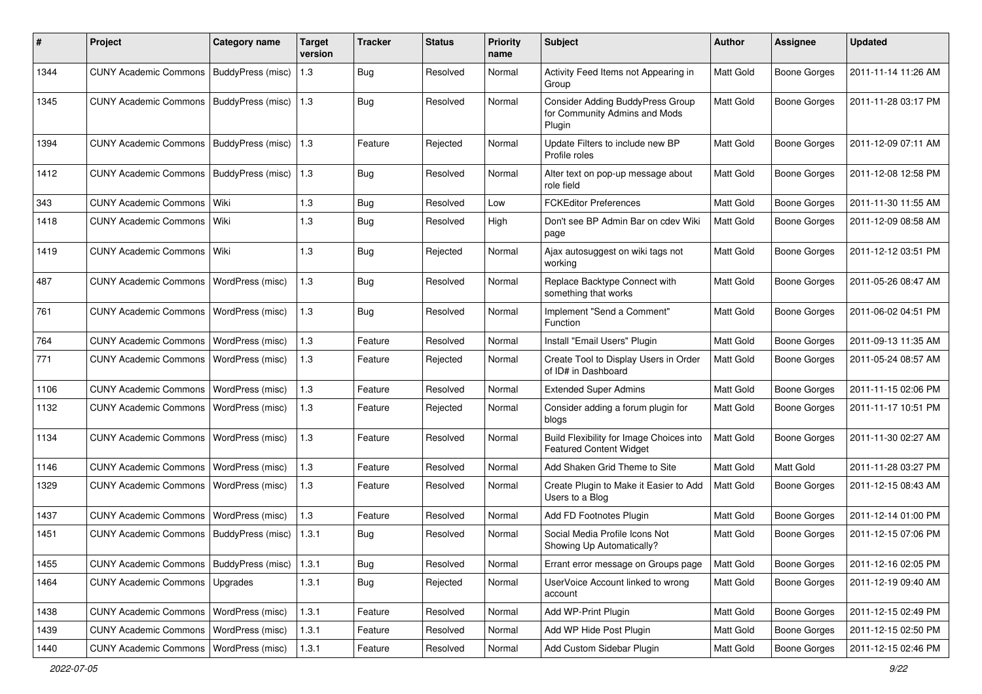| #    | Project                                           | <b>Category name</b>     | <b>Target</b><br>version | <b>Tracker</b> | <b>Status</b> | <b>Priority</b><br>name | <b>Subject</b>                                                              | Author           | <b>Assignee</b>     | <b>Updated</b>      |
|------|---------------------------------------------------|--------------------------|--------------------------|----------------|---------------|-------------------------|-----------------------------------------------------------------------------|------------------|---------------------|---------------------|
| 1344 | <b>CUNY Academic Commons</b>                      | BuddyPress (misc)        | 1.3                      | <b>Bug</b>     | Resolved      | Normal                  | Activity Feed Items not Appearing in<br>Group                               | Matt Gold        | <b>Boone Gorges</b> | 2011-11-14 11:26 AM |
| 1345 | <b>CUNY Academic Commons</b>                      | BuddyPress (misc)        | 1.3                      | Bug            | Resolved      | Normal                  | Consider Adding BuddyPress Group<br>for Community Admins and Mods<br>Plugin | Matt Gold        | <b>Boone Gorges</b> | 2011-11-28 03:17 PM |
| 1394 | <b>CUNY Academic Commons</b>                      | BuddyPress (misc)        | 1.3                      | Feature        | Rejected      | Normal                  | Update Filters to include new BP<br>Profile roles                           | Matt Gold        | <b>Boone Gorges</b> | 2011-12-09 07:11 AM |
| 1412 | <b>CUNY Academic Commons</b>                      | BuddyPress (misc)        | 1.3                      | <b>Bug</b>     | Resolved      | Normal                  | Alter text on pop-up message about<br>role field                            | Matt Gold        | Boone Gorges        | 2011-12-08 12:58 PM |
| 343  | <b>CUNY Academic Commons</b>                      | Wiki                     | 1.3                      | <b>Bug</b>     | Resolved      | Low                     | <b>FCKEditor Preferences</b>                                                | Matt Gold        | <b>Boone Gorges</b> | 2011-11-30 11:55 AM |
| 1418 | CUNY Academic Commons   Wiki                      |                          | 1.3                      | <b>Bug</b>     | Resolved      | High                    | Don't see BP Admin Bar on cdev Wiki<br>page                                 | Matt Gold        | Boone Gorges        | 2011-12-09 08:58 AM |
| 1419 | <b>CUNY Academic Commons</b>                      | Wiki                     | 1.3                      | <b>Bug</b>     | Rejected      | Normal                  | Ajax autosuggest on wiki tags not<br>working                                | Matt Gold        | <b>Boone Gorges</b> | 2011-12-12 03:51 PM |
| 487  | <b>CUNY Academic Commons</b>                      | WordPress (misc)         | 1.3                      | <b>Bug</b>     | Resolved      | Normal                  | Replace Backtype Connect with<br>something that works                       | Matt Gold        | Boone Gorges        | 2011-05-26 08:47 AM |
| 761  | <b>CUNY Academic Commons</b>                      | WordPress (misc)         | 1.3                      | <b>Bug</b>     | Resolved      | Normal                  | Implement "Send a Comment"<br>Function                                      | Matt Gold        | Boone Gorges        | 2011-06-02 04:51 PM |
| 764  | <b>CUNY Academic Commons</b>                      | WordPress (misc)         | 1.3                      | Feature        | Resolved      | Normal                  | Install "Email Users" Plugin                                                | Matt Gold        | <b>Boone Gorges</b> | 2011-09-13 11:35 AM |
| 771  | <b>CUNY Academic Commons</b>                      | WordPress (misc)         | 1.3                      | Feature        | Rejected      | Normal                  | Create Tool to Display Users in Order<br>of ID# in Dashboard                | <b>Matt Gold</b> | <b>Boone Gorges</b> | 2011-05-24 08:57 AM |
| 1106 | <b>CUNY Academic Commons</b>                      | WordPress (misc)         | $1.3$                    | Feature        | Resolved      | Normal                  | <b>Extended Super Admins</b>                                                | Matt Gold        | <b>Boone Gorges</b> | 2011-11-15 02:06 PM |
| 1132 | <b>CUNY Academic Commons</b>                      | WordPress (misc)         | 1.3                      | Feature        | Rejected      | Normal                  | Consider adding a forum plugin for<br>blogs                                 | <b>Matt Gold</b> | Boone Gorges        | 2011-11-17 10:51 PM |
| 1134 | <b>CUNY Academic Commons</b>                      | WordPress (misc)         | 1.3                      | Feature        | Resolved      | Normal                  | Build Flexibility for Image Choices into<br><b>Featured Content Widget</b>  | Matt Gold        | Boone Gorges        | 2011-11-30 02:27 AM |
| 1146 | <b>CUNY Academic Commons</b>                      | WordPress (misc)         | $1.3$                    | Feature        | Resolved      | Normal                  | Add Shaken Grid Theme to Site                                               | <b>Matt Gold</b> | Matt Gold           | 2011-11-28 03:27 PM |
| 1329 | <b>CUNY Academic Commons</b>                      | WordPress (misc)         | 1.3                      | Feature        | Resolved      | Normal                  | Create Plugin to Make it Easier to Add<br>Users to a Blog                   | Matt Gold        | Boone Gorges        | 2011-12-15 08:43 AM |
| 1437 | <b>CUNY Academic Commons</b>                      | WordPress (misc)         | 1.3                      | Feature        | Resolved      | Normal                  | Add FD Footnotes Plugin                                                     | Matt Gold        | Boone Gorges        | 2011-12-14 01:00 PM |
| 1451 | <b>CUNY Academic Commons</b>                      | <b>BuddyPress (misc)</b> | 1.3.1                    | <b>Bug</b>     | Resolved      | Normal                  | Social Media Profile Icons Not<br>Showing Up Automatically?                 | <b>Matt Gold</b> | Boone Gorges        | 2011-12-15 07:06 PM |
| 1455 | CUNY Academic Commons   BuddyPress (misc)   1.3.1 |                          |                          | <b>Bug</b>     | Resolved      | Normal                  | Errant error message on Groups page                                         | Matt Gold        | <b>Boone Gorges</b> | 2011-12-16 02:05 PM |
| 1464 | CUNY Academic Commons   Upgrades                  |                          | 1.3.1                    | <b>Bug</b>     | Rejected      | Normal                  | UserVoice Account linked to wrong<br>account                                | Matt Gold        | Boone Gorges        | 2011-12-19 09:40 AM |
| 1438 | CUNY Academic Commons   WordPress (misc)          |                          | 1.3.1                    | Feature        | Resolved      | Normal                  | Add WP-Print Plugin                                                         | Matt Gold        | Boone Gorges        | 2011-12-15 02:49 PM |
| 1439 | <b>CUNY Academic Commons</b>                      | WordPress (misc)         | 1.3.1                    | Feature        | Resolved      | Normal                  | Add WP Hide Post Plugin                                                     | Matt Gold        | <b>Boone Gorges</b> | 2011-12-15 02:50 PM |
| 1440 | <b>CUNY Academic Commons</b>                      | WordPress (misc)         | 1.3.1                    | Feature        | Resolved      | Normal                  | Add Custom Sidebar Plugin                                                   | Matt Gold        | Boone Gorges        | 2011-12-15 02:46 PM |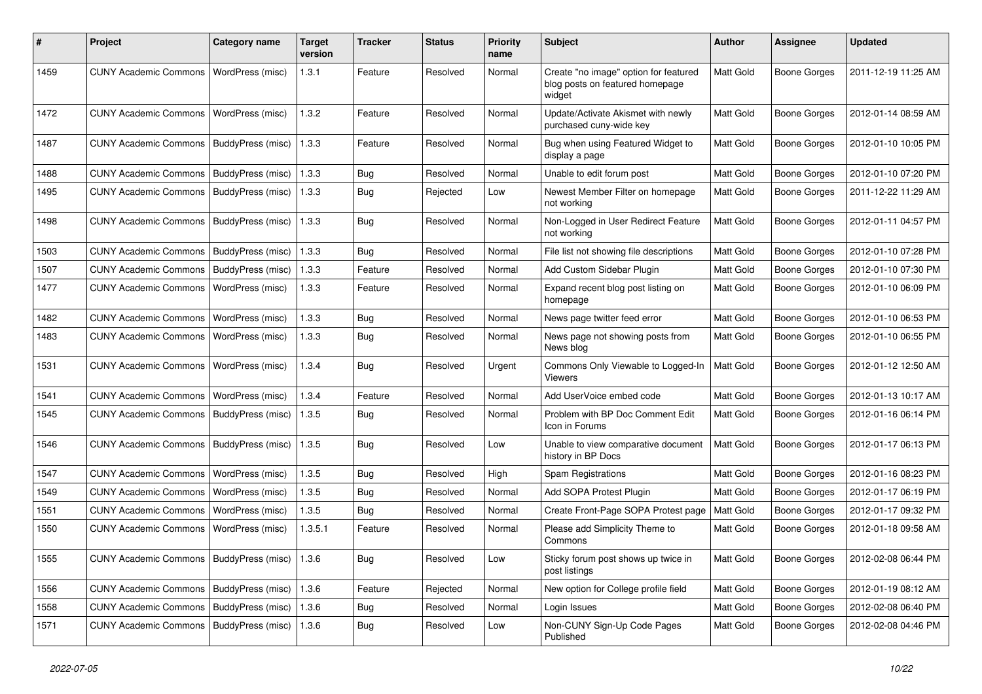| ∦    | Project                                           | Category name            | <b>Target</b><br>version | Tracker    | <b>Status</b> | <b>Priority</b><br>name | <b>Subject</b>                                                                     | Author           | <b>Assignee</b>     | <b>Updated</b>      |
|------|---------------------------------------------------|--------------------------|--------------------------|------------|---------------|-------------------------|------------------------------------------------------------------------------------|------------------|---------------------|---------------------|
| 1459 | <b>CUNY Academic Commons</b>                      | WordPress (misc)         | 1.3.1                    | Feature    | Resolved      | Normal                  | Create "no image" option for featured<br>blog posts on featured homepage<br>widget | Matt Gold        | <b>Boone Gorges</b> | 2011-12-19 11:25 AM |
| 1472 | <b>CUNY Academic Commons</b>                      | WordPress (misc)         | 1.3.2                    | Feature    | Resolved      | Normal                  | Update/Activate Akismet with newly<br>purchased cuny-wide key                      | <b>Matt Gold</b> | <b>Boone Gorges</b> | 2012-01-14 08:59 AM |
| 1487 | <b>CUNY Academic Commons</b>                      | BuddyPress (misc)        | 1.3.3                    | Feature    | Resolved      | Normal                  | Bug when using Featured Widget to<br>display a page                                | <b>Matt Gold</b> | <b>Boone Gorges</b> | 2012-01-10 10:05 PM |
| 1488 | <b>CUNY Academic Commons</b>                      | BuddyPress (misc)        | 1.3.3                    | <b>Bug</b> | Resolved      | Normal                  | Unable to edit forum post                                                          | Matt Gold        | <b>Boone Gorges</b> | 2012-01-10 07:20 PM |
| 1495 | <b>CUNY Academic Commons</b>                      | BuddyPress (misc)        | 1.3.3                    | Bug        | Rejected      | Low                     | Newest Member Filter on homepage<br>not working                                    | <b>Matt Gold</b> | <b>Boone Gorges</b> | 2011-12-22 11:29 AM |
| 1498 | <b>CUNY Academic Commons</b>                      | BuddyPress (misc)        | 1.3.3                    | Bug        | Resolved      | Normal                  | Non-Logged in User Redirect Feature<br>not working                                 | Matt Gold        | Boone Gorges        | 2012-01-11 04:57 PM |
| 1503 | <b>CUNY Academic Commons</b>                      | BuddyPress (misc)        | 1.3.3                    | <b>Bug</b> | Resolved      | Normal                  | File list not showing file descriptions                                            | Matt Gold        | Boone Gorges        | 2012-01-10 07:28 PM |
| 1507 | <b>CUNY Academic Commons</b>                      | <b>BuddyPress (misc)</b> | 1.3.3                    | Feature    | Resolved      | Normal                  | Add Custom Sidebar Plugin                                                          | Matt Gold        | <b>Boone Gorges</b> | 2012-01-10 07:30 PM |
| 1477 | <b>CUNY Academic Commons</b>                      | WordPress (misc)         | 1.3.3                    | Feature    | Resolved      | Normal                  | Expand recent blog post listing on<br>homepage                                     | Matt Gold        | <b>Boone Gorges</b> | 2012-01-10 06:09 PM |
| 1482 | <b>CUNY Academic Commons</b>                      | WordPress (misc)         | 1.3.3                    | Bug        | Resolved      | Normal                  | News page twitter feed error                                                       | Matt Gold        | <b>Boone Gorges</b> | 2012-01-10 06:53 PM |
| 1483 | <b>CUNY Academic Commons</b>                      | WordPress (misc)         | 1.3.3                    | <b>Bug</b> | Resolved      | Normal                  | News page not showing posts from<br>News blog                                      | <b>Matt Gold</b> | <b>Boone Gorges</b> | 2012-01-10 06:55 PM |
| 1531 | <b>CUNY Academic Commons</b>                      | WordPress (misc)         | 1.3.4                    | <b>Bug</b> | Resolved      | Urgent                  | Commons Only Viewable to Logged-In<br>Viewers                                      | <b>Matt Gold</b> | <b>Boone Gorges</b> | 2012-01-12 12:50 AM |
| 1541 | <b>CUNY Academic Commons</b>                      | WordPress (misc)         | 1.3.4                    | Feature    | Resolved      | Normal                  | Add UserVoice embed code                                                           | Matt Gold        | <b>Boone Gorges</b> | 2012-01-13 10:17 AM |
| 1545 | <b>CUNY Academic Commons</b>                      | BuddyPress (misc)        | 1.3.5                    | <b>Bug</b> | Resolved      | Normal                  | Problem with BP Doc Comment Edit<br>Icon in Forums                                 | <b>Matt Gold</b> | <b>Boone Gorges</b> | 2012-01-16 06:14 PM |
| 1546 | <b>CUNY Academic Commons</b>                      | BuddyPress (misc)        | 1.3.5                    | Bug        | Resolved      | Low                     | Unable to view comparative document<br>history in BP Docs                          | Matt Gold        | <b>Boone Gorges</b> | 2012-01-17 06:13 PM |
| 1547 | <b>CUNY Academic Commons</b>                      | WordPress (misc)         | 1.3.5                    | Bug        | Resolved      | High                    | Spam Registrations                                                                 | Matt Gold        | Boone Gorges        | 2012-01-16 08:23 PM |
| 1549 | <b>CUNY Academic Commons</b>                      | WordPress (misc)         | 1.3.5                    | <b>Bug</b> | Resolved      | Normal                  | Add SOPA Protest Plugin                                                            | Matt Gold        | Boone Gorges        | 2012-01-17 06:19 PM |
| 1551 | <b>CUNY Academic Commons</b>                      | WordPress (misc)         | 1.3.5                    | <b>Bug</b> | Resolved      | Normal                  | Create Front-Page SOPA Protest page                                                | Matt Gold        | <b>Boone Gorges</b> | 2012-01-17 09:32 PM |
| 1550 | <b>CUNY Academic Commons</b>                      | WordPress (misc)         | 1.3.5.1                  | Feature    | Resolved      | Normal                  | Please add Simplicity Theme to<br>Commons                                          | <b>Matt Gold</b> | Boone Gorges        | 2012-01-18 09:58 AM |
| 1555 | CUNY Academic Commons   BuddyPress (misc)   1.3.6 |                          |                          | <b>Bug</b> | Resolved      | Low                     | Sticky forum post shows up twice in<br>post listings                               | Matt Gold        | <b>Boone Gorges</b> | 2012-02-08 06:44 PM |
| 1556 | CUNY Academic Commons   BuddyPress (misc)   1.3.6 |                          |                          | Feature    | Rejected      | Normal                  | New option for College profile field                                               | Matt Gold        | <b>Boone Gorges</b> | 2012-01-19 08:12 AM |
| 1558 | <b>CUNY Academic Commons</b>                      | BuddyPress (misc)        | 1.3.6                    | <b>Bug</b> | Resolved      | Normal                  | Login Issues                                                                       | <b>Matt Gold</b> | Boone Gorges        | 2012-02-08 06:40 PM |
| 1571 | CUNY Academic Commons   BuddyPress (misc)   1.3.6 |                          |                          | <b>Bug</b> | Resolved      | Low                     | Non-CUNY Sign-Up Code Pages<br>Published                                           | Matt Gold        | Boone Gorges        | 2012-02-08 04:46 PM |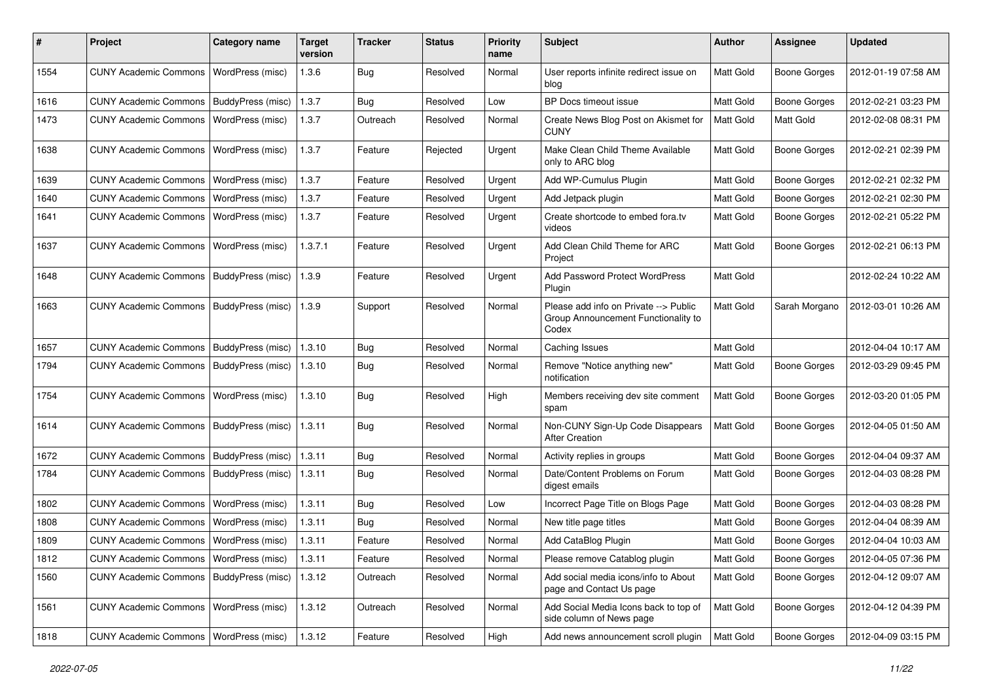| #    | Project                                   | <b>Category name</b> | <b>Target</b><br>version | <b>Tracker</b> | <b>Status</b> | <b>Priority</b><br>name | Subject                                                                               | Author    | <b>Assignee</b>     | <b>Updated</b>      |
|------|-------------------------------------------|----------------------|--------------------------|----------------|---------------|-------------------------|---------------------------------------------------------------------------------------|-----------|---------------------|---------------------|
| 1554 | CUNY Academic Commons   WordPress (misc)  |                      | 1.3.6                    | <b>Bug</b>     | Resolved      | Normal                  | User reports infinite redirect issue on<br>blog                                       | Matt Gold | <b>Boone Gorges</b> | 2012-01-19 07:58 AM |
| 1616 | CUNY Academic Commons   BuddyPress (misc) |                      | 1.3.7                    | <b>Bug</b>     | Resolved      | Low                     | BP Docs timeout issue                                                                 | Matt Gold | <b>Boone Gorges</b> | 2012-02-21 03:23 PM |
| 1473 | <b>CUNY Academic Commons</b>              | WordPress (misc)     | 1.3.7                    | Outreach       | Resolved      | Normal                  | Create News Blog Post on Akismet for<br><b>CUNY</b>                                   | Matt Gold | Matt Gold           | 2012-02-08 08:31 PM |
| 1638 | <b>CUNY Academic Commons</b>              | WordPress (misc)     | 1.3.7                    | Feature        | Rejected      | Urgent                  | Make Clean Child Theme Available<br>only to ARC blog                                  | Matt Gold | <b>Boone Gorges</b> | 2012-02-21 02:39 PM |
| 1639 | <b>CUNY Academic Commons</b>              | WordPress (misc)     | 1.3.7                    | Feature        | Resolved      | Urgent                  | Add WP-Cumulus Plugin                                                                 | Matt Gold | <b>Boone Gorges</b> | 2012-02-21 02:32 PM |
| 1640 | <b>CUNY Academic Commons</b>              | WordPress (misc)     | 1.3.7                    | Feature        | Resolved      | Urgent                  | Add Jetpack plugin                                                                    | Matt Gold | Boone Gorges        | 2012-02-21 02:30 PM |
| 1641 | <b>CUNY Academic Commons</b>              | WordPress (misc)     | 1.3.7                    | Feature        | Resolved      | Urgent                  | Create shortcode to embed fora.tv<br>videos                                           | Matt Gold | <b>Boone Gorges</b> | 2012-02-21 05:22 PM |
| 1637 | <b>CUNY Academic Commons</b>              | WordPress (misc)     | 1.3.7.1                  | Feature        | Resolved      | Urgent                  | Add Clean Child Theme for ARC<br>Project                                              | Matt Gold | <b>Boone Gorges</b> | 2012-02-21 06:13 PM |
| 1648 | CUNY Academic Commons   BuddyPress (misc) |                      | 1.3.9                    | Feature        | Resolved      | Urgent                  | Add Password Protect WordPress<br>Plugin                                              | Matt Gold |                     | 2012-02-24 10:22 AM |
| 1663 | <b>CUNY Academic Commons</b>              | BuddyPress (misc)    | 1.3.9                    | Support        | Resolved      | Normal                  | Please add info on Private --> Public<br>Group Announcement Functionality to<br>Codex | Matt Gold | Sarah Morgano       | 2012-03-01 10:26 AM |
| 1657 | CUNY Academic Commons   BuddyPress (misc) |                      | 1.3.10                   | Bug            | Resolved      | Normal                  | Caching Issues                                                                        | Matt Gold |                     | 2012-04-04 10:17 AM |
| 1794 | <b>CUNY Academic Commons</b>              | BuddyPress (misc)    | 1.3.10                   | <b>Bug</b>     | Resolved      | Normal                  | Remove "Notice anything new"<br>notification                                          | Matt Gold | <b>Boone Gorges</b> | 2012-03-29 09:45 PM |
| 1754 | <b>CUNY Academic Commons</b>              | WordPress (misc)     | 1.3.10                   | <b>Bug</b>     | Resolved      | High                    | Members receiving dev site comment<br>spam                                            | Matt Gold | <b>Boone Gorges</b> | 2012-03-20 01:05 PM |
| 1614 | <b>CUNY Academic Commons</b>              | BuddyPress (misc)    | 1.3.11                   | Bug            | Resolved      | Normal                  | Non-CUNY Sign-Up Code Disappears<br><b>After Creation</b>                             | Matt Gold | <b>Boone Gorges</b> | 2012-04-05 01:50 AM |
| 1672 | CUNY Academic Commons   BuddyPress (misc) |                      | 1.3.11                   | Bug            | Resolved      | Normal                  | Activity replies in groups                                                            | Matt Gold | <b>Boone Gorges</b> | 2012-04-04 09:37 AM |
| 1784 | <b>CUNY Academic Commons</b>              | BuddyPress (misc)    | 1.3.11                   | <b>Bug</b>     | Resolved      | Normal                  | Date/Content Problems on Forum<br>digest emails                                       | Matt Gold | <b>Boone Gorges</b> | 2012-04-03 08:28 PM |
| 1802 | <b>CUNY Academic Commons</b>              | WordPress (misc)     | 1.3.11                   | <b>Bug</b>     | Resolved      | Low                     | Incorrect Page Title on Blogs Page                                                    | Matt Gold | <b>Boone Gorges</b> | 2012-04-03 08:28 PM |
| 1808 | <b>CUNY Academic Commons</b>              | WordPress (misc)     | 1.3.11                   | Bug            | Resolved      | Normal                  | New title page titles                                                                 | Matt Gold | <b>Boone Gorges</b> | 2012-04-04 08:39 AM |
| 1809 | <b>CUNY Academic Commons</b>              | WordPress (misc)     | 1.3.11                   | Feature        | Resolved      | Normal                  | Add CataBlog Plugin                                                                   | Matt Gold | <b>Boone Gorges</b> | 2012-04-04 10:03 AM |
| 1812 | CUNY Academic Commons   WordPress (misc)  |                      | 1.3.11                   | Feature        | Resolved      | Normal                  | Please remove Catablog plugin                                                         | Matt Gold | <b>Boone Gorges</b> | 2012-04-05 07:36 PM |
| 1560 | CUNY Academic Commons   BuddyPress (misc) |                      | 1.3.12                   | Outreach       | Resolved      | Normal                  | Add social media icons/info to About<br>page and Contact Us page                      | Matt Gold | Boone Gorges        | 2012-04-12 09:07 AM |
| 1561 | CUNY Academic Commons   WordPress (misc)  |                      | 1.3.12                   | Outreach       | Resolved      | Normal                  | Add Social Media Icons back to top of<br>side column of News page                     | Matt Gold | Boone Gorges        | 2012-04-12 04:39 PM |
| 1818 | CUNY Academic Commons   WordPress (misc)  |                      | 1.3.12                   | Feature        | Resolved      | High                    | Add news announcement scroll plugin                                                   | Matt Gold | <b>Boone Gorges</b> | 2012-04-09 03:15 PM |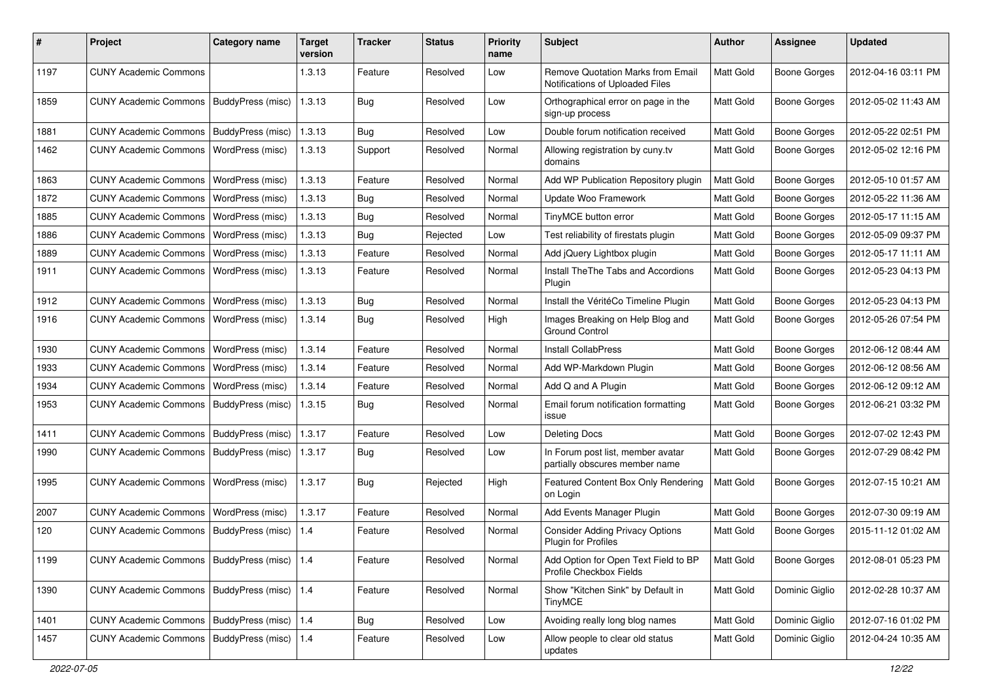| #    | Project                                         | <b>Category name</b>  | <b>Target</b><br>version | Tracker    | <b>Status</b> | <b>Priority</b><br>name | <b>Subject</b>                                                              | Author    | <b>Assignee</b>     | <b>Updated</b>      |
|------|-------------------------------------------------|-----------------------|--------------------------|------------|---------------|-------------------------|-----------------------------------------------------------------------------|-----------|---------------------|---------------------|
| 1197 | <b>CUNY Academic Commons</b>                    |                       | 1.3.13                   | Feature    | Resolved      | Low                     | <b>Remove Quotation Marks from Email</b><br>Notifications of Uploaded Files | Matt Gold | <b>Boone Gorges</b> | 2012-04-16 03:11 PM |
| 1859 | <b>CUNY Academic Commons</b>                    | BuddyPress (misc)     | 1.3.13                   | <b>Bug</b> | Resolved      | Low                     | Orthographical error on page in the<br>sign-up process                      | Matt Gold | <b>Boone Gorges</b> | 2012-05-02 11:43 AM |
| 1881 | <b>CUNY Academic Commons</b>                    | BuddyPress (misc)     | 1.3.13                   | Bug        | Resolved      | Low                     | Double forum notification received                                          | Matt Gold | <b>Boone Gorges</b> | 2012-05-22 02:51 PM |
| 1462 | <b>CUNY Academic Commons</b>                    | WordPress (misc)      | 1.3.13                   | Support    | Resolved      | Normal                  | Allowing registration by cuny.tv<br>domains                                 | Matt Gold | <b>Boone Gorges</b> | 2012-05-02 12:16 PM |
| 1863 | <b>CUNY Academic Commons</b>                    | WordPress (misc)      | 1.3.13                   | Feature    | Resolved      | Normal                  | Add WP Publication Repository plugin                                        | Matt Gold | <b>Boone Gorges</b> | 2012-05-10 01:57 AM |
| 1872 | <b>CUNY Academic Commons</b>                    | WordPress (misc)      | 1.3.13                   | Bug        | Resolved      | Normal                  | Update Woo Framework                                                        | Matt Gold | <b>Boone Gorges</b> | 2012-05-22 11:36 AM |
| 1885 | <b>CUNY Academic Commons</b>                    | WordPress (misc)      | 1.3.13                   | <b>Bug</b> | Resolved      | Normal                  | TinyMCE button error                                                        | Matt Gold | <b>Boone Gorges</b> | 2012-05-17 11:15 AM |
| 1886 | <b>CUNY Academic Commons</b>                    | WordPress (misc)      | 1.3.13                   | <b>Bug</b> | Rejected      | Low                     | Test reliability of firestats plugin                                        | Matt Gold | <b>Boone Gorges</b> | 2012-05-09 09:37 PM |
| 1889 | <b>CUNY Academic Commons</b>                    | WordPress (misc)      | 1.3.13                   | Feature    | Resolved      | Normal                  | Add jQuery Lightbox plugin                                                  | Matt Gold | <b>Boone Gorges</b> | 2012-05-17 11:11 AM |
| 1911 | <b>CUNY Academic Commons</b>                    | WordPress (misc)      | 1.3.13                   | Feature    | Resolved      | Normal                  | Install The The Tabs and Accordions<br>Plugin                               | Matt Gold | <b>Boone Gorges</b> | 2012-05-23 04:13 PM |
| 1912 | <b>CUNY Academic Commons</b>                    | WordPress (misc)      | 1.3.13                   | <b>Bug</b> | Resolved      | Normal                  | Install the VéritéCo Timeline Plugin                                        | Matt Gold | <b>Boone Gorges</b> | 2012-05-23 04:13 PM |
| 1916 | <b>CUNY Academic Commons</b>                    | WordPress (misc)      | 1.3.14                   | Bug        | Resolved      | High                    | Images Breaking on Help Blog and<br><b>Ground Control</b>                   | Matt Gold | <b>Boone Gorges</b> | 2012-05-26 07:54 PM |
| 1930 | <b>CUNY Academic Commons</b>                    | WordPress (misc)      | 1.3.14                   | Feature    | Resolved      | Normal                  | Install CollabPress                                                         | Matt Gold | <b>Boone Gorges</b> | 2012-06-12 08:44 AM |
| 1933 | <b>CUNY Academic Commons</b>                    | WordPress (misc)      | 1.3.14                   | Feature    | Resolved      | Normal                  | Add WP-Markdown Plugin                                                      | Matt Gold | <b>Boone Gorges</b> | 2012-06-12 08:56 AM |
| 1934 | <b>CUNY Academic Commons</b>                    | WordPress (misc)      | 1.3.14                   | Feature    | Resolved      | Normal                  | Add Q and A Plugin                                                          | Matt Gold | <b>Boone Gorges</b> | 2012-06-12 09:12 AM |
| 1953 | <b>CUNY Academic Commons</b>                    | BuddyPress (misc)     | 1.3.15                   | <b>Bug</b> | Resolved      | Normal                  | Email forum notification formatting<br>issue                                | Matt Gold | <b>Boone Gorges</b> | 2012-06-21 03:32 PM |
| 1411 | <b>CUNY Academic Commons</b>                    | BuddyPress (misc)     | 1.3.17                   | Feature    | Resolved      | Low                     | <b>Deleting Docs</b>                                                        | Matt Gold | <b>Boone Gorges</b> | 2012-07-02 12:43 PM |
| 1990 | <b>CUNY Academic Commons</b>                    | BuddyPress (misc)     | 1.3.17                   | <b>Bug</b> | Resolved      | Low                     | In Forum post list, member avatar<br>partially obscures member name         | Matt Gold | <b>Boone Gorges</b> | 2012-07-29 08:42 PM |
| 1995 | <b>CUNY Academic Commons</b>                    | WordPress (misc)      | 1.3.17                   | <b>Bug</b> | Rejected      | High                    | Featured Content Box Only Rendering<br>on Login                             | Matt Gold | <b>Boone Gorges</b> | 2012-07-15 10:21 AM |
| 2007 | <b>CUNY Academic Commons</b>                    | WordPress (misc)      | 1.3.17                   | Feature    | Resolved      | Normal                  | Add Events Manager Plugin                                                   | Matt Gold | <b>Boone Gorges</b> | 2012-07-30 09:19 AM |
| 120  | <b>CUNY Academic Commons</b>                    | BuddyPress (misc)     | 1.4                      | Feature    | Resolved      | Normal                  | <b>Consider Adding Privacy Options</b><br>Plugin for Profiles               | Matt Gold | <b>Boone Gorges</b> | 2015-11-12 01:02 AM |
| 1199 | CUNY Academic Commons   BuddyPress (misc)   1.4 |                       |                          | Feature    | Resolved      | Normal                  | Add Option for Open Text Field to BP<br>Profile Checkbox Fields             | Matt Gold | Boone Gorges        | 2012-08-01 05:23 PM |
| 1390 | CUNY Academic Commons   BuddyPress (misc)   1.4 |                       |                          | Feature    | Resolved      | Normal                  | Show "Kitchen Sink" by Default in<br><b>TinyMCE</b>                         | Matt Gold | Dominic Giglio      | 2012-02-28 10:37 AM |
| 1401 | <b>CUNY Academic Commons</b>                    | BuddyPress (misc) 1.4 |                          | Bug        | Resolved      | Low                     | Avoiding really long blog names                                             | Matt Gold | Dominic Giglio      | 2012-07-16 01:02 PM |
| 1457 | <b>CUNY Academic Commons</b>                    | BuddyPress (misc) 1.4 |                          | Feature    | Resolved      | Low                     | Allow people to clear old status<br>updates                                 | Matt Gold | Dominic Giglio      | 2012-04-24 10:35 AM |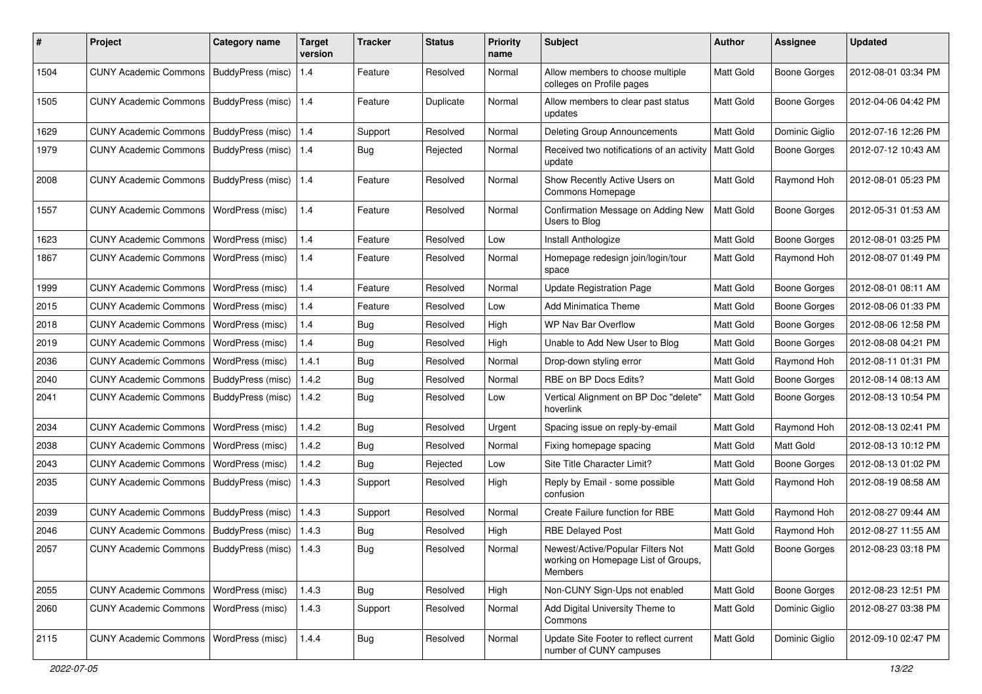| #    | Project                                           | Category name     | <b>Target</b><br>version | <b>Tracker</b> | <b>Status</b> | <b>Priority</b><br>name | Subject                                                                                    | Author           | <b>Assignee</b>     | <b>Updated</b>      |
|------|---------------------------------------------------|-------------------|--------------------------|----------------|---------------|-------------------------|--------------------------------------------------------------------------------------------|------------------|---------------------|---------------------|
| 1504 | <b>CUNY Academic Commons</b>                      | BuddyPress (misc) | 1.4                      | Feature        | Resolved      | Normal                  | Allow members to choose multiple<br>colleges on Profile pages                              | Matt Gold        | <b>Boone Gorges</b> | 2012-08-01 03:34 PM |
| 1505 | <b>CUNY Academic Commons</b>                      | BuddyPress (misc) | 1.4                      | Feature        | Duplicate     | Normal                  | Allow members to clear past status<br>updates                                              | Matt Gold        | <b>Boone Gorges</b> | 2012-04-06 04:42 PM |
| 1629 | <b>CUNY Academic Commons</b>                      | BuddyPress (misc) | 1.4                      | Support        | Resolved      | Normal                  | <b>Deleting Group Announcements</b>                                                        | Matt Gold        | Dominic Giglio      | 2012-07-16 12:26 PM |
| 1979 | <b>CUNY Academic Commons</b>                      | BuddyPress (misc) | 1.4                      | Bug            | Rejected      | Normal                  | Received two notifications of an activity<br>update                                        | <b>Matt Gold</b> | <b>Boone Gorges</b> | 2012-07-12 10:43 AM |
| 2008 | <b>CUNY Academic Commons</b>                      | BuddyPress (misc) | $1.4$                    | Feature        | Resolved      | Normal                  | Show Recently Active Users on<br>Commons Homepage                                          | Matt Gold        | Raymond Hoh         | 2012-08-01 05:23 PM |
| 1557 | <b>CUNY Academic Commons</b>                      | WordPress (misc)  | 1.4                      | Feature        | Resolved      | Normal                  | Confirmation Message on Adding New<br>Users to Blog                                        | Matt Gold        | <b>Boone Gorges</b> | 2012-05-31 01:53 AM |
| 1623 | <b>CUNY Academic Commons</b>                      | WordPress (misc)  | 1.4                      | Feature        | Resolved      | Low                     | Install Anthologize                                                                        | Matt Gold        | <b>Boone Gorges</b> | 2012-08-01 03:25 PM |
| 1867 | <b>CUNY Academic Commons</b>                      | WordPress (misc)  | 1.4                      | Feature        | Resolved      | Normal                  | Homepage redesign join/login/tour<br>space                                                 | Matt Gold        | Raymond Hoh         | 2012-08-07 01:49 PM |
| 1999 | <b>CUNY Academic Commons</b>                      | WordPress (misc)  | 1.4                      | Feature        | Resolved      | Normal                  | <b>Update Registration Page</b>                                                            | Matt Gold        | <b>Boone Gorges</b> | 2012-08-01 08:11 AM |
| 2015 | <b>CUNY Academic Commons</b>                      | WordPress (misc)  | 1.4                      | Feature        | Resolved      | Low                     | Add Minimatica Theme                                                                       | Matt Gold        | <b>Boone Gorges</b> | 2012-08-06 01:33 PM |
| 2018 | <b>CUNY Academic Commons</b>                      | WordPress (misc)  | 1.4                      | Bug            | Resolved      | High                    | WP Nav Bar Overflow                                                                        | Matt Gold        | Boone Gorges        | 2012-08-06 12:58 PM |
| 2019 | <b>CUNY Academic Commons</b>                      | WordPress (misc)  | 1.4                      | Bug            | Resolved      | High                    | Unable to Add New User to Blog                                                             | Matt Gold        | <b>Boone Gorges</b> | 2012-08-08 04:21 PM |
| 2036 | <b>CUNY Academic Commons</b>                      | WordPress (misc)  | 1.4.1                    | <b>Bug</b>     | Resolved      | Normal                  | Drop-down styling error                                                                    | Matt Gold        | Raymond Hoh         | 2012-08-11 01:31 PM |
| 2040 | <b>CUNY Academic Commons</b>                      | BuddyPress (misc) | 1.4.2                    | <b>Bug</b>     | Resolved      | Normal                  | RBE on BP Docs Edits?                                                                      | Matt Gold        | <b>Boone Gorges</b> | 2012-08-14 08:13 AM |
| 2041 | <b>CUNY Academic Commons</b>                      | BuddyPress (misc) | 1.4.2                    | Bug            | Resolved      | Low                     | Vertical Alignment on BP Doc "delete"<br>hoverlink                                         | Matt Gold        | <b>Boone Gorges</b> | 2012-08-13 10:54 PM |
| 2034 | <b>CUNY Academic Commons</b>                      | WordPress (misc)  | 1.4.2                    | Bug            | Resolved      | Urgent                  | Spacing issue on reply-by-email                                                            | Matt Gold        | Raymond Hoh         | 2012-08-13 02:41 PM |
| 2038 | <b>CUNY Academic Commons</b>                      | WordPress (misc)  | 1.4.2                    | <b>Bug</b>     | Resolved      | Normal                  | Fixing homepage spacing                                                                    | Matt Gold        | Matt Gold           | 2012-08-13 10:12 PM |
| 2043 | <b>CUNY Academic Commons</b>                      | WordPress (misc)  | 1.4.2                    | Bug            | Rejected      | Low                     | Site Title Character Limit?                                                                | Matt Gold        | Boone Gorges        | 2012-08-13 01:02 PM |
| 2035 | <b>CUNY Academic Commons</b>                      | BuddyPress (misc) | 1.4.3                    | Support        | Resolved      | High                    | Reply by Email - some possible<br>confusion                                                | Matt Gold        | Raymond Hoh         | 2012-08-19 08:58 AM |
| 2039 | <b>CUNY Academic Commons</b>                      | BuddyPress (misc) | 1.4.3                    | Support        | Resolved      | Normal                  | Create Failure function for RBE                                                            | Matt Gold        | Raymond Hoh         | 2012-08-27 09:44 AM |
| 2046 | <b>CUNY Academic Commons</b>                      | BuddyPress (misc) | 1.4.3                    | <b>Bug</b>     | Resolved      | High                    | <b>RBE Delayed Post</b>                                                                    | Matt Gold        | Raymond Hoh         | 2012-08-27 11:55 AM |
| 2057 | CUNY Academic Commons   BuddyPress (misc)   1.4.3 |                   |                          | <b>Bug</b>     | Resolved      | Normal                  | Newest/Active/Popular Filters Not<br>working on Homepage List of Groups,<br><b>Members</b> | Matt Gold        | <b>Boone Gorges</b> | 2012-08-23 03:18 PM |
| 2055 | <b>CUNY Academic Commons</b>                      | WordPress (misc)  | 1.4.3                    | <b>Bug</b>     | Resolved      | High                    | Non-CUNY Sign-Ups not enabled                                                              | Matt Gold        | <b>Boone Gorges</b> | 2012-08-23 12:51 PM |
| 2060 | <b>CUNY Academic Commons</b>                      | WordPress (misc)  | 1.4.3                    | Support        | Resolved      | Normal                  | Add Digital University Theme to<br>Commons                                                 | Matt Gold        | Dominic Giglio      | 2012-08-27 03:38 PM |
| 2115 | <b>CUNY Academic Commons</b>                      | WordPress (misc)  | 1.4.4                    | Bug            | Resolved      | Normal                  | Update Site Footer to reflect current<br>number of CUNY campuses                           | Matt Gold        | Dominic Giglio      | 2012-09-10 02:47 PM |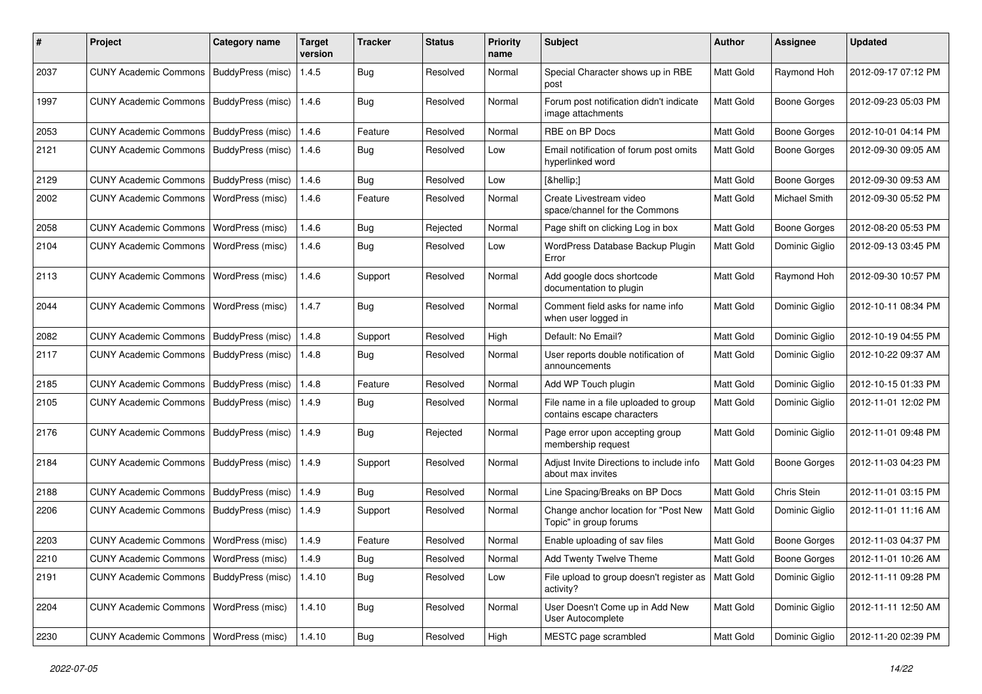| #    | Project                                   | <b>Category name</b>     | <b>Target</b><br>version | <b>Tracker</b> | <b>Status</b> | <b>Priority</b><br>name | <b>Subject</b>                                                      | Author    | <b>Assignee</b>     | <b>Updated</b>      |
|------|-------------------------------------------|--------------------------|--------------------------|----------------|---------------|-------------------------|---------------------------------------------------------------------|-----------|---------------------|---------------------|
| 2037 | <b>CUNY Academic Commons</b>              | BuddyPress (misc)        | 1.4.5                    | <b>Bug</b>     | Resolved      | Normal                  | Special Character shows up in RBE<br>post                           | Matt Gold | Raymond Hoh         | 2012-09-17 07:12 PM |
| 1997 | <b>CUNY Academic Commons</b>              | BuddyPress (misc)        | 1.4.6                    | <b>Bug</b>     | Resolved      | Normal                  | Forum post notification didn't indicate<br>image attachments        | Matt Gold | <b>Boone Gorges</b> | 2012-09-23 05:03 PM |
| 2053 | <b>CUNY Academic Commons</b>              | BuddyPress (misc)        | 1.4.6                    | Feature        | Resolved      | Normal                  | RBE on BP Docs                                                      | Matt Gold | <b>Boone Gorges</b> | 2012-10-01 04:14 PM |
| 2121 | <b>CUNY Academic Commons</b>              | BuddyPress (misc)        | 1.4.6                    | <b>Bug</b>     | Resolved      | Low                     | Email notification of forum post omits<br>hyperlinked word          | Matt Gold | <b>Boone Gorges</b> | 2012-09-30 09:05 AM |
| 2129 | <b>CUNY Academic Commons</b>              | BuddyPress (misc)        | 1.4.6                    | <b>Bug</b>     | Resolved      | Low                     | […]                                                                 | Matt Gold | <b>Boone Gorges</b> | 2012-09-30 09:53 AM |
| 2002 | <b>CUNY Academic Commons</b>              | WordPress (misc)         | 1.4.6                    | Feature        | Resolved      | Normal                  | Create Livestream video<br>space/channel for the Commons            | Matt Gold | Michael Smith       | 2012-09-30 05:52 PM |
| 2058 | <b>CUNY Academic Commons</b>              | WordPress (misc)         | 1.4.6                    | <b>Bug</b>     | Rejected      | Normal                  | Page shift on clicking Log in box                                   | Matt Gold | <b>Boone Gorges</b> | 2012-08-20 05:53 PM |
| 2104 | <b>CUNY Academic Commons</b>              | WordPress (misc)         | 1.4.6                    | <b>Bug</b>     | Resolved      | Low                     | WordPress Database Backup Plugin<br>Error                           | Matt Gold | Dominic Giglio      | 2012-09-13 03:45 PM |
| 2113 | <b>CUNY Academic Commons</b>              | WordPress (misc)         | 1.4.6                    | Support        | Resolved      | Normal                  | Add google docs shortcode<br>documentation to plugin                | Matt Gold | Raymond Hoh         | 2012-09-30 10:57 PM |
| 2044 | <b>CUNY Academic Commons</b>              | WordPress (misc)         | 1.4.7                    | <b>Bug</b>     | Resolved      | Normal                  | Comment field asks for name info<br>when user logged in             | Matt Gold | Dominic Giglio      | 2012-10-11 08:34 PM |
| 2082 | <b>CUNY Academic Commons</b>              | <b>BuddyPress</b> (misc) | 1.4.8                    | Support        | Resolved      | High                    | Default: No Email?                                                  | Matt Gold | Dominic Giglio      | 2012-10-19 04:55 PM |
| 2117 | <b>CUNY Academic Commons</b>              | BuddyPress (misc)        | 1.4.8                    | <b>Bug</b>     | Resolved      | Normal                  | User reports double notification of<br>announcements                | Matt Gold | Dominic Giglio      | 2012-10-22 09:37 AM |
| 2185 | <b>CUNY Academic Commons</b>              | BuddyPress (misc)        | 1.4.8                    | Feature        | Resolved      | Normal                  | Add WP Touch plugin                                                 | Matt Gold | Dominic Giglio      | 2012-10-15 01:33 PM |
| 2105 | <b>CUNY Academic Commons</b>              | BuddyPress (misc)        | 1.4.9                    | Bug            | Resolved      | Normal                  | File name in a file uploaded to group<br>contains escape characters | Matt Gold | Dominic Giglio      | 2012-11-01 12:02 PM |
| 2176 | <b>CUNY Academic Commons</b>              | BuddyPress (misc)        | 1.4.9                    | Bug            | Rejected      | Normal                  | Page error upon accepting group<br>membership request               | Matt Gold | Dominic Giglio      | 2012-11-01 09:48 PM |
| 2184 | <b>CUNY Academic Commons</b>              | BuddyPress (misc)        | 1.4.9                    | Support        | Resolved      | Normal                  | Adjust Invite Directions to include info<br>about max invites       | Matt Gold | <b>Boone Gorges</b> | 2012-11-03 04:23 PM |
| 2188 | <b>CUNY Academic Commons</b>              | BuddyPress (misc)        | 1.4.9                    | Bug            | Resolved      | Normal                  | Line Spacing/Breaks on BP Docs                                      | Matt Gold | Chris Stein         | 2012-11-01 03:15 PM |
| 2206 | <b>CUNY Academic Commons</b>              | BuddyPress (misc)        | 1.4.9                    | Support        | Resolved      | Normal                  | Change anchor location for "Post New<br>Topic" in group forums      | Matt Gold | Dominic Giglio      | 2012-11-01 11:16 AM |
| 2203 | <b>CUNY Academic Commons</b>              | WordPress (misc)         | 1.4.9                    | Feature        | Resolved      | Normal                  | Enable uploading of sav files                                       | Matt Gold | <b>Boone Gorges</b> | 2012-11-03 04:37 PM |
| 2210 | CUNY Academic Commons   WordPress (misc)  |                          | 1.4.9                    | Bug            | Resolved      | Normal                  | Add Twenty Twelve Theme                                             | Matt Gold | <b>Boone Gorges</b> | 2012-11-01 10:26 AM |
| 2191 | CUNY Academic Commons   BuddyPress (misc) |                          | 1.4.10                   | <b>Bug</b>     | Resolved      | Low                     | File upload to group doesn't register as<br>activity?               | Matt Gold | Dominic Giglio      | 2012-11-11 09:28 PM |
| 2204 | <b>CUNY Academic Commons</b>              | WordPress (misc)         | 1.4.10                   | <b>Bug</b>     | Resolved      | Normal                  | User Doesn't Come up in Add New<br>User Autocomplete                | Matt Gold | Dominic Giglio      | 2012-11-11 12:50 AM |
| 2230 | CUNY Academic Commons   WordPress (misc)  |                          | 1.4.10                   | <b>Bug</b>     | Resolved      | High                    | MESTC page scrambled                                                | Matt Gold | Dominic Giglio      | 2012-11-20 02:39 PM |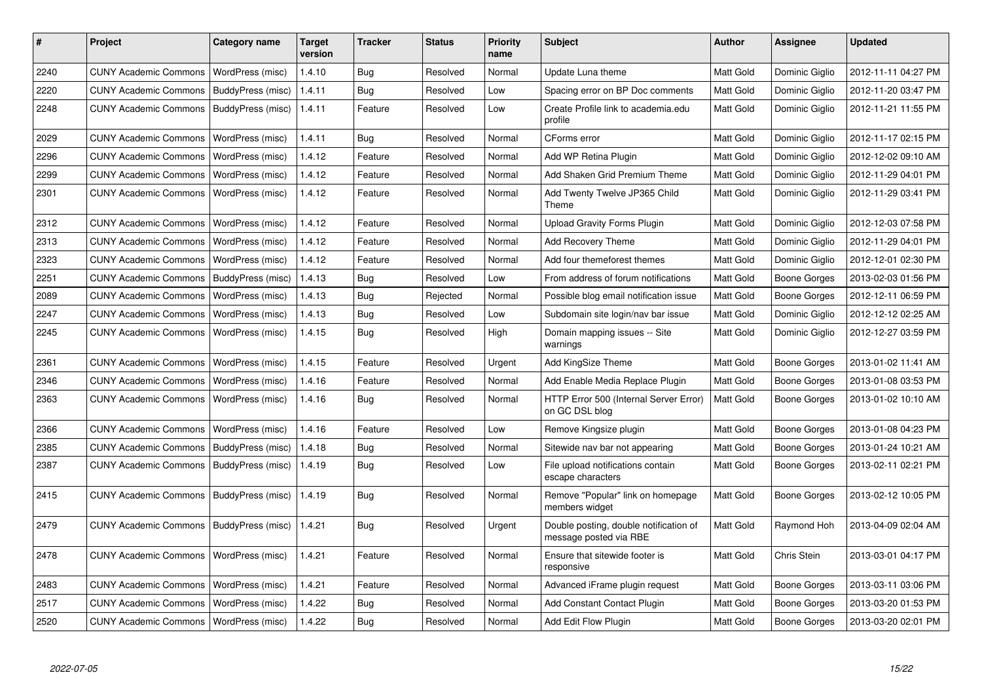| $\pmb{\#}$ | Project                      | Category name     | Target<br>version | <b>Tracker</b> | <b>Status</b> | <b>Priority</b><br>name | <b>Subject</b>                                                   | <b>Author</b>    | Assignee       | <b>Updated</b>      |
|------------|------------------------------|-------------------|-------------------|----------------|---------------|-------------------------|------------------------------------------------------------------|------------------|----------------|---------------------|
| 2240       | <b>CUNY Academic Commons</b> | WordPress (misc)  | 1.4.10            | Bug            | Resolved      | Normal                  | Update Luna theme                                                | Matt Gold        | Dominic Giglio | 2012-11-11 04:27 PM |
| 2220       | <b>CUNY Academic Commons</b> | BuddyPress (misc) | 1.4.11            | Bug            | Resolved      | Low                     | Spacing error on BP Doc comments                                 | <b>Matt Gold</b> | Dominic Giglio | 2012-11-20 03:47 PM |
| 2248       | <b>CUNY Academic Commons</b> | BuddyPress (misc) | 1.4.11            | Feature        | Resolved      | Low                     | Create Profile link to academia.edu<br>profile                   | Matt Gold        | Dominic Giglio | 2012-11-21 11:55 PM |
| 2029       | <b>CUNY Academic Commons</b> | WordPress (misc)  | 1.4.11            | <b>Bug</b>     | Resolved      | Normal                  | CForms error                                                     | Matt Gold        | Dominic Giglio | 2012-11-17 02:15 PM |
| 2296       | <b>CUNY Academic Commons</b> | WordPress (misc)  | 1.4.12            | Feature        | Resolved      | Normal                  | Add WP Retina Plugin                                             | Matt Gold        | Dominic Giglio | 2012-12-02 09:10 AM |
| 2299       | <b>CUNY Academic Commons</b> | WordPress (misc)  | 1.4.12            | Feature        | Resolved      | Normal                  | Add Shaken Grid Premium Theme                                    | <b>Matt Gold</b> | Dominic Giglio | 2012-11-29 04:01 PM |
| 2301       | <b>CUNY Academic Commons</b> | WordPress (misc)  | 1.4.12            | Feature        | Resolved      | Normal                  | Add Twenty Twelve JP365 Child<br>Theme                           | Matt Gold        | Dominic Giglio | 2012-11-29 03:41 PM |
| 2312       | <b>CUNY Academic Commons</b> | WordPress (misc)  | 1.4.12            | Feature        | Resolved      | Normal                  | <b>Upload Gravity Forms Plugin</b>                               | Matt Gold        | Dominic Giglio | 2012-12-03 07:58 PM |
| 2313       | <b>CUNY Academic Commons</b> | WordPress (misc)  | 1.4.12            | Feature        | Resolved      | Normal                  | Add Recovery Theme                                               | Matt Gold        | Dominic Giglio | 2012-11-29 04:01 PM |
| 2323       | <b>CUNY Academic Commons</b> | WordPress (misc)  | 1.4.12            | Feature        | Resolved      | Normal                  | Add four themeforest themes                                      | <b>Matt Gold</b> | Dominic Giglio | 2012-12-01 02:30 PM |
| 2251       | <b>CUNY Academic Commons</b> | BuddyPress (misc) | 1.4.13            | Bug            | Resolved      | Low                     | From address of forum notifications                              | Matt Gold        | Boone Gorges   | 2013-02-03 01:56 PM |
| 2089       | <b>CUNY Academic Commons</b> | WordPress (misc)  | 1.4.13            | Bug            | Rejected      | Normal                  | Possible blog email notification issue                           | Matt Gold        | Boone Gorges   | 2012-12-11 06:59 PM |
| 2247       | <b>CUNY Academic Commons</b> | WordPress (misc)  | 1.4.13            | <b>Bug</b>     | Resolved      | Low                     | Subdomain site login/nav bar issue                               | Matt Gold        | Dominic Giglio | 2012-12-12 02:25 AM |
| 2245       | <b>CUNY Academic Commons</b> | WordPress (misc)  | 1.4.15            | Bug            | Resolved      | High                    | Domain mapping issues -- Site<br>warnings                        | <b>Matt Gold</b> | Dominic Giglio | 2012-12-27 03:59 PM |
| 2361       | <b>CUNY Academic Commons</b> | WordPress (misc)  | 1.4.15            | Feature        | Resolved      | Urgent                  | Add KingSize Theme                                               | Matt Gold        | Boone Gorges   | 2013-01-02 11:41 AM |
| 2346       | <b>CUNY Academic Commons</b> | WordPress (misc)  | 1.4.16            | Feature        | Resolved      | Normal                  | Add Enable Media Replace Plugin                                  | <b>Matt Gold</b> | Boone Gorges   | 2013-01-08 03:53 PM |
| 2363       | <b>CUNY Academic Commons</b> | WordPress (misc)  | 1.4.16            | Bug            | Resolved      | Normal                  | HTTP Error 500 (Internal Server Error)<br>on GC DSL blog         | Matt Gold        | Boone Gorges   | 2013-01-02 10:10 AM |
| 2366       | <b>CUNY Academic Commons</b> | WordPress (misc)  | 1.4.16            | Feature        | Resolved      | Low                     | Remove Kingsize plugin                                           | Matt Gold        | Boone Gorges   | 2013-01-08 04:23 PM |
| 2385       | <b>CUNY Academic Commons</b> | BuddyPress (misc) | 1.4.18            | Bug            | Resolved      | Normal                  | Sitewide nav bar not appearing                                   | Matt Gold        | Boone Gorges   | 2013-01-24 10:21 AM |
| 2387       | <b>CUNY Academic Commons</b> | BuddyPress (misc) | 1.4.19            | <b>Bug</b>     | Resolved      | Low                     | File upload notifications contain<br>escape characters           | <b>Matt Gold</b> | Boone Gorges   | 2013-02-11 02:21 PM |
| 2415       | <b>CUNY Academic Commons</b> | BuddyPress (misc) | 1.4.19            | <b>Bug</b>     | Resolved      | Normal                  | Remove "Popular" link on homepage<br>members widget              | <b>Matt Gold</b> | Boone Gorges   | 2013-02-12 10:05 PM |
| 2479       | <b>CUNY Academic Commons</b> | BuddyPress (misc) | 1.4.21            | Bug            | Resolved      | Urgent                  | Double posting, double notification of<br>message posted via RBE | Matt Gold        | Raymond Hoh    | 2013-04-09 02:04 AM |
| 2478       | <b>CUNY Academic Commons</b> | WordPress (misc)  | 1.4.21            | Feature        | Resolved      | Normal                  | Ensure that sitewide footer is<br>responsive                     | <b>Matt Gold</b> | Chris Stein    | 2013-03-01 04:17 PM |
| 2483       | <b>CUNY Academic Commons</b> | WordPress (misc)  | 1.4.21            | Feature        | Resolved      | Normal                  | Advanced iFrame plugin request                                   | Matt Gold        | Boone Gorges   | 2013-03-11 03:06 PM |
| 2517       | <b>CUNY Academic Commons</b> | WordPress (misc)  | 1.4.22            | Bug            | Resolved      | Normal                  | <b>Add Constant Contact Plugin</b>                               | <b>Matt Gold</b> | Boone Gorges   | 2013-03-20 01:53 PM |
| 2520       | <b>CUNY Academic Commons</b> | WordPress (misc)  | 1.4.22            | Bug            | Resolved      | Normal                  | Add Edit Flow Plugin                                             | Matt Gold        | Boone Gorges   | 2013-03-20 02:01 PM |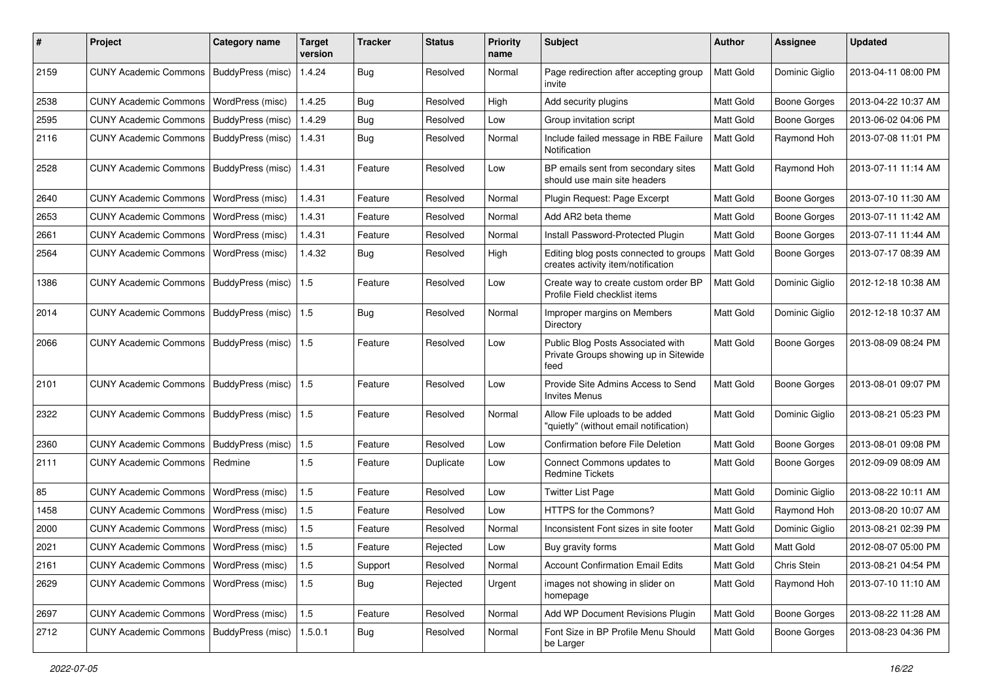| $\pmb{\#}$ | Project                                  | <b>Category name</b>     | <b>Target</b><br>version | <b>Tracker</b> | <b>Status</b> | <b>Priority</b><br>name | <b>Subject</b>                                                                     | Author    | <b>Assignee</b>     | <b>Updated</b>      |
|------------|------------------------------------------|--------------------------|--------------------------|----------------|---------------|-------------------------|------------------------------------------------------------------------------------|-----------|---------------------|---------------------|
| 2159       | <b>CUNY Academic Commons</b>             | BuddyPress (misc)        | 1.4.24                   | <b>Bug</b>     | Resolved      | Normal                  | Page redirection after accepting group<br>invite                                   | Matt Gold | Dominic Giglio      | 2013-04-11 08:00 PM |
| 2538       | <b>CUNY Academic Commons</b>             | WordPress (misc)         | 1.4.25                   | <b>Bug</b>     | Resolved      | High                    | Add security plugins                                                               | Matt Gold | <b>Boone Gorges</b> | 2013-04-22 10:37 AM |
| 2595       | <b>CUNY Academic Commons</b>             | BuddyPress (misc)        | 1.4.29                   | <b>Bug</b>     | Resolved      | Low                     | Group invitation script                                                            | Matt Gold | <b>Boone Gorges</b> | 2013-06-02 04:06 PM |
| 2116       | <b>CUNY Academic Commons</b>             | BuddyPress (misc)        | 1.4.31                   | Bug            | Resolved      | Normal                  | Include failed message in RBE Failure<br>Notification                              | Matt Gold | Raymond Hoh         | 2013-07-08 11:01 PM |
| 2528       | <b>CUNY Academic Commons</b>             | BuddyPress (misc)        | 1.4.31                   | Feature        | Resolved      | Low                     | BP emails sent from secondary sites<br>should use main site headers                | Matt Gold | Raymond Hoh         | 2013-07-11 11:14 AM |
| 2640       | <b>CUNY Academic Commons</b>             | WordPress (misc)         | 1.4.31                   | Feature        | Resolved      | Normal                  | Plugin Request: Page Excerpt                                                       | Matt Gold | <b>Boone Gorges</b> | 2013-07-10 11:30 AM |
| 2653       | <b>CUNY Academic Commons</b>             | WordPress (misc)         | 1.4.31                   | Feature        | Resolved      | Normal                  | Add AR2 beta theme                                                                 | Matt Gold | <b>Boone Gorges</b> | 2013-07-11 11:42 AM |
| 2661       | <b>CUNY Academic Commons</b>             | WordPress (misc)         | 1.4.31                   | Feature        | Resolved      | Normal                  | Install Password-Protected Plugin                                                  | Matt Gold | <b>Boone Gorges</b> | 2013-07-11 11:44 AM |
| 2564       | <b>CUNY Academic Commons</b>             | WordPress (misc)         | 1.4.32                   | <b>Bug</b>     | Resolved      | High                    | Editing blog posts connected to groups<br>creates activity item/notification       | Matt Gold | <b>Boone Gorges</b> | 2013-07-17 08:39 AM |
| 1386       | <b>CUNY Academic Commons</b>             | <b>BuddyPress (misc)</b> | 1.5                      | Feature        | Resolved      | Low                     | Create way to create custom order BP<br>Profile Field checklist items              | Matt Gold | Dominic Giglio      | 2012-12-18 10:38 AM |
| 2014       | <b>CUNY Academic Commons</b>             | BuddyPress (misc)        | 1.5                      | <b>Bug</b>     | Resolved      | Normal                  | Improper margins on Members<br>Directory                                           | Matt Gold | Dominic Giglio      | 2012-12-18 10:37 AM |
| 2066       | <b>CUNY Academic Commons</b>             | BuddyPress (misc)        | 1.5                      | Feature        | Resolved      | Low                     | Public Blog Posts Associated with<br>Private Groups showing up in Sitewide<br>feed | Matt Gold | <b>Boone Gorges</b> | 2013-08-09 08:24 PM |
| 2101       | <b>CUNY Academic Commons</b>             | BuddyPress (misc)        | 1.5                      | Feature        | Resolved      | Low                     | Provide Site Admins Access to Send<br><b>Invites Menus</b>                         | Matt Gold | <b>Boone Gorges</b> | 2013-08-01 09:07 PM |
| 2322       | <b>CUNY Academic Commons</b>             | BuddyPress (misc)        | 1.5                      | Feature        | Resolved      | Normal                  | Allow File uploads to be added<br>"quietly" (without email notification)           | Matt Gold | Dominic Giglio      | 2013-08-21 05:23 PM |
| 2360       | <b>CUNY Academic Commons</b>             | BuddyPress (misc)        | 1.5                      | Feature        | Resolved      | Low                     | Confirmation before File Deletion                                                  | Matt Gold | <b>Boone Gorges</b> | 2013-08-01 09:08 PM |
| 2111       | <b>CUNY Academic Commons</b>             | Redmine                  | 1.5                      | Feature        | Duplicate     | Low                     | Connect Commons updates to<br>Redmine Tickets                                      | Matt Gold | <b>Boone Gorges</b> | 2012-09-09 08:09 AM |
| 85         | <b>CUNY Academic Commons</b>             | <b>WordPress (misc)</b>  | 1.5                      | Feature        | Resolved      | Low                     | <b>Twitter List Page</b>                                                           | Matt Gold | Dominic Giglio      | 2013-08-22 10:11 AM |
| 1458       | <b>CUNY Academic Commons</b>             | WordPress (misc)         | $1.5\,$                  | Feature        | Resolved      | Low                     | HTTPS for the Commons?                                                             | Matt Gold | Raymond Hoh         | 2013-08-20 10:07 AM |
| 2000       | <b>CUNY Academic Commons</b>             | WordPress (misc)         | 1.5                      | Feature        | Resolved      | Normal                  | Inconsistent Font sizes in site footer                                             | Matt Gold | Dominic Giglio      | 2013-08-21 02:39 PM |
| 2021       | CUNY Academic Commons   WordPress (misc) |                          | 1.5                      | Feature        | Rejected      | Low                     | Buy gravity forms                                                                  | Matt Gold | Matt Gold           | 2012-08-07 05:00 PM |
| 2161       | <b>CUNY Academic Commons</b>             | <b>WordPress (misc)</b>  | $1.5$                    | Support        | Resolved      | Normal                  | <b>Account Confirmation Email Edits</b>                                            | Matt Gold | Chris Stein         | 2013-08-21 04:54 PM |
| 2629       | <b>CUNY Academic Commons</b>             | WordPress (misc)         | $1.5\,$                  | Bug            | Rejected      | Urgent                  | images not showing in slider on<br>homepage                                        | Matt Gold | Raymond Hoh         | 2013-07-10 11:10 AM |
| 2697       | <b>CUNY Academic Commons</b>             | WordPress (misc)         | 1.5                      | Feature        | Resolved      | Normal                  | Add WP Document Revisions Plugin                                                   | Matt Gold | Boone Gorges        | 2013-08-22 11:28 AM |
| 2712       | CUNY Academic Commons                    | BuddyPress (misc)        | 1.5.0.1                  | Bug            | Resolved      | Normal                  | Font Size in BP Profile Menu Should<br>be Larger                                   | Matt Gold | <b>Boone Gorges</b> | 2013-08-23 04:36 PM |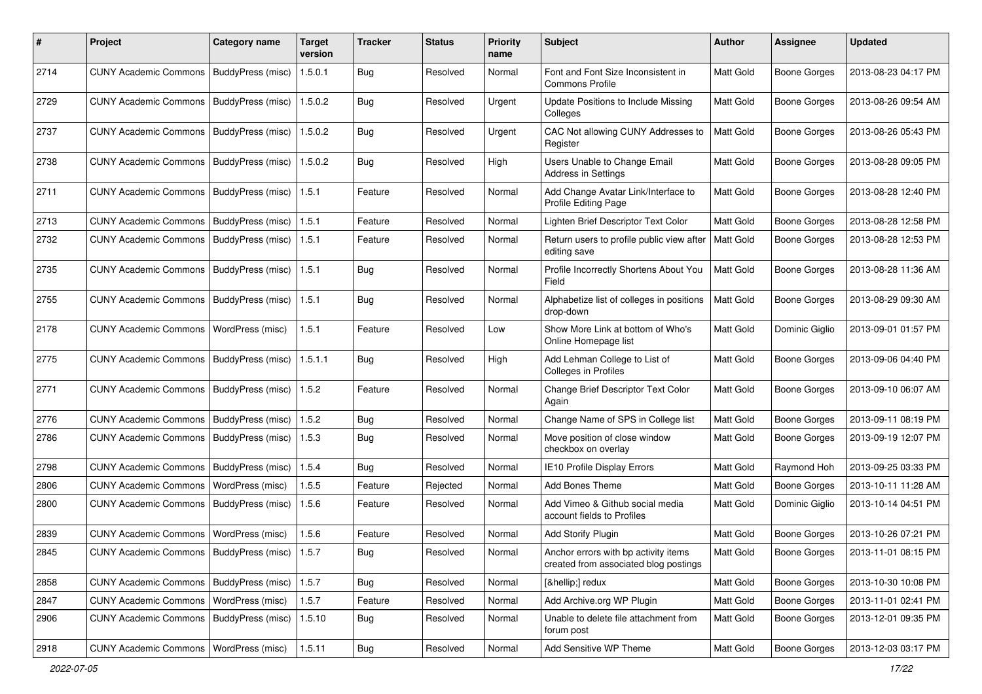| #    | Project                                           | <b>Category name</b> | <b>Target</b><br>version | <b>Tracker</b> | <b>Status</b> | <b>Priority</b><br>name | <b>Subject</b>                                                                | Author    | <b>Assignee</b>     | <b>Updated</b>      |
|------|---------------------------------------------------|----------------------|--------------------------|----------------|---------------|-------------------------|-------------------------------------------------------------------------------|-----------|---------------------|---------------------|
| 2714 | <b>CUNY Academic Commons</b>                      | BuddyPress (misc)    | 1.5.0.1                  | <b>Bug</b>     | Resolved      | Normal                  | Font and Font Size Inconsistent in<br><b>Commons Profile</b>                  | Matt Gold | <b>Boone Gorges</b> | 2013-08-23 04:17 PM |
| 2729 | <b>CUNY Academic Commons</b>                      | BuddyPress (misc)    | 1.5.0.2                  | Bug            | Resolved      | Urgent                  | Update Positions to Include Missing<br>Colleges                               | Matt Gold | <b>Boone Gorges</b> | 2013-08-26 09:54 AM |
| 2737 | <b>CUNY Academic Commons</b>                      | BuddyPress (misc)    | 1.5.0.2                  | <b>Bug</b>     | Resolved      | Urgent                  | CAC Not allowing CUNY Addresses to<br>Register                                | Matt Gold | <b>Boone Gorges</b> | 2013-08-26 05:43 PM |
| 2738 | <b>CUNY Academic Commons</b>                      | BuddyPress (misc)    | 1.5.0.2                  | Bug            | Resolved      | High                    | Users Unable to Change Email<br>Address in Settings                           | Matt Gold | <b>Boone Gorges</b> | 2013-08-28 09:05 PM |
| 2711 | <b>CUNY Academic Commons</b>                      | BuddyPress (misc)    | 1.5.1                    | Feature        | Resolved      | Normal                  | Add Change Avatar Link/Interface to<br>Profile Editing Page                   | Matt Gold | <b>Boone Gorges</b> | 2013-08-28 12:40 PM |
| 2713 | <b>CUNY Academic Commons</b>                      | BuddyPress (misc)    | 1.5.1                    | Feature        | Resolved      | Normal                  | Lighten Brief Descriptor Text Color                                           | Matt Gold | <b>Boone Gorges</b> | 2013-08-28 12:58 PM |
| 2732 | <b>CUNY Academic Commons</b>                      | BuddyPress (misc)    | 1.5.1                    | Feature        | Resolved      | Normal                  | Return users to profile public view after<br>editing save                     | Matt Gold | Boone Gorges        | 2013-08-28 12:53 PM |
| 2735 | <b>CUNY Academic Commons</b>                      | BuddyPress (misc)    | 1.5.1                    | Bug            | Resolved      | Normal                  | Profile Incorrectly Shortens About You<br>Field                               | Matt Gold | <b>Boone Gorges</b> | 2013-08-28 11:36 AM |
| 2755 | <b>CUNY Academic Commons</b>                      | BuddyPress (misc)    | 1.5.1                    | Bug            | Resolved      | Normal                  | Alphabetize list of colleges in positions<br>drop-down                        | Matt Gold | <b>Boone Gorges</b> | 2013-08-29 09:30 AM |
| 2178 | <b>CUNY Academic Commons</b>                      | WordPress (misc)     | 1.5.1                    | Feature        | Resolved      | Low                     | Show More Link at bottom of Who's<br>Online Homepage list                     | Matt Gold | Dominic Giglio      | 2013-09-01 01:57 PM |
| 2775 | <b>CUNY Academic Commons</b>                      | BuddyPress (misc)    | 1.5.1.1                  | Bug            | Resolved      | High                    | Add Lehman College to List of<br><b>Colleges in Profiles</b>                  | Matt Gold | <b>Boone Gorges</b> | 2013-09-06 04:40 PM |
| 2771 | <b>CUNY Academic Commons</b>                      | BuddyPress (misc)    | 1.5.2                    | Feature        | Resolved      | Normal                  | Change Brief Descriptor Text Color<br>Again                                   | Matt Gold | <b>Boone Gorges</b> | 2013-09-10 06:07 AM |
| 2776 | <b>CUNY Academic Commons</b>                      | BuddyPress (misc)    | 1.5.2                    | Bug            | Resolved      | Normal                  | Change Name of SPS in College list                                            | Matt Gold | <b>Boone Gorges</b> | 2013-09-11 08:19 PM |
| 2786 | <b>CUNY Academic Commons</b>                      | BuddyPress (misc)    | 1.5.3                    | Bug            | Resolved      | Normal                  | Move position of close window<br>checkbox on overlay                          | Matt Gold | <b>Boone Gorges</b> | 2013-09-19 12:07 PM |
| 2798 | <b>CUNY Academic Commons</b>                      | BuddyPress (misc)    | 1.5.4                    | <b>Bug</b>     | Resolved      | Normal                  | IE10 Profile Display Errors                                                   | Matt Gold | Raymond Hoh         | 2013-09-25 03:33 PM |
| 2806 | <b>CUNY Academic Commons</b>                      | WordPress (misc)     | 1.5.5                    | Feature        | Rejected      | Normal                  | Add Bones Theme                                                               | Matt Gold | <b>Boone Gorges</b> | 2013-10-11 11:28 AM |
| 2800 | <b>CUNY Academic Commons</b>                      | BuddyPress (misc)    | 1.5.6                    | Feature        | Resolved      | Normal                  | Add Vimeo & Github social media<br>account fields to Profiles                 | Matt Gold | Dominic Giglio      | 2013-10-14 04:51 PM |
| 2839 | <b>CUNY Academic Commons</b>                      | WordPress (misc)     | 1.5.6                    | Feature        | Resolved      | Normal                  | Add Storify Plugin                                                            | Matt Gold | <b>Boone Gorges</b> | 2013-10-26 07:21 PM |
| 2845 | CUNY Academic Commons   BuddyPress (misc)   1.5.7 |                      |                          | Bug            | Resolved      | Normal                  | Anchor errors with bp activity items<br>created from associated blog postings | Matt Gold | Boone Gorges        | 2013-11-01 08:15 PM |
| 2858 | CUNY Academic Commons   BuddyPress (misc)         |                      | 1.5.7                    | Bug            | Resolved      | Normal                  | […] redux                                                                     | Matt Gold | <b>Boone Gorges</b> | 2013-10-30 10:08 PM |
| 2847 | <b>CUNY Academic Commons</b>                      | WordPress (misc)     | 1.5.7                    | Feature        | Resolved      | Normal                  | Add Archive.org WP Plugin                                                     | Matt Gold | Boone Gorges        | 2013-11-01 02:41 PM |
| 2906 | CUNY Academic Commons   BuddyPress (misc)         |                      | 1.5.10                   | Bug            | Resolved      | Normal                  | Unable to delete file attachment from<br>forum post                           | Matt Gold | <b>Boone Gorges</b> | 2013-12-01 09:35 PM |
| 2918 | CUNY Academic Commons   WordPress (misc)          |                      | 1.5.11                   | Bug            | Resolved      | Normal                  | Add Sensitive WP Theme                                                        | Matt Gold | Boone Gorges        | 2013-12-03 03:17 PM |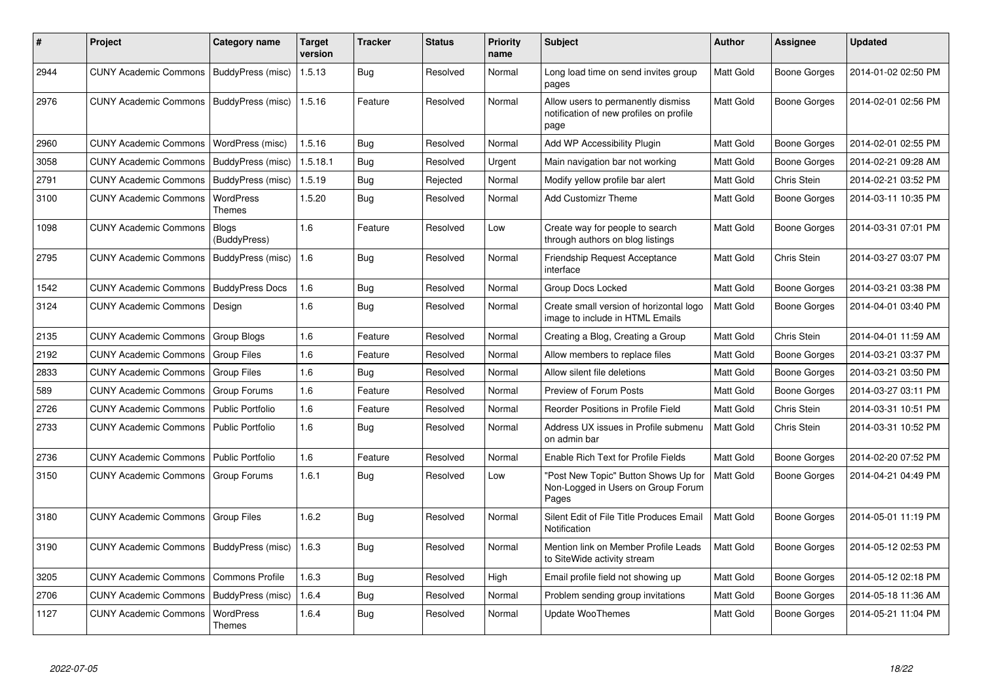| ∦    | Project                                   | Category name                | <b>Target</b><br>version | Tracker    | <b>Status</b> | <b>Priority</b><br>name | <b>Subject</b>                                                                        | <b>Author</b>    | Assignee            | <b>Updated</b>      |
|------|-------------------------------------------|------------------------------|--------------------------|------------|---------------|-------------------------|---------------------------------------------------------------------------------------|------------------|---------------------|---------------------|
| 2944 | CUNY Academic Commons   BuddyPress (misc) |                              | 1.5.13                   | <b>Bug</b> | Resolved      | Normal                  | Long load time on send invites group<br>pages                                         | <b>Matt Gold</b> | Boone Gorges        | 2014-01-02 02:50 PM |
| 2976 | CUNY Academic Commons   BuddyPress (misc) |                              | 1.5.16                   | Feature    | Resolved      | Normal                  | Allow users to permanently dismiss<br>notification of new profiles on profile<br>page | Matt Gold        | Boone Gorges        | 2014-02-01 02:56 PM |
| 2960 | <b>CUNY Academic Commons</b>              | WordPress (misc)             | 1.5.16                   | Bug        | Resolved      | Normal                  | Add WP Accessibility Plugin                                                           | <b>Matt Gold</b> | <b>Boone Gorges</b> | 2014-02-01 02:55 PM |
| 3058 | <b>CUNY Academic Commons</b>              | BuddyPress (misc)            | 1.5.18.1                 | Bug        | Resolved      | Urgent                  | Main navigation bar not working                                                       | Matt Gold        | Boone Gorges        | 2014-02-21 09:28 AM |
| 2791 | <b>CUNY Academic Commons</b>              | BuddyPress (misc)            | 1.5.19                   | <b>Bug</b> | Rejected      | Normal                  | Modify yellow profile bar alert                                                       | Matt Gold        | Chris Stein         | 2014-02-21 03:52 PM |
| 3100 | <b>CUNY Academic Commons</b>              | WordPress<br>Themes          | 1.5.20                   | Bug        | Resolved      | Normal                  | <b>Add Customizr Theme</b>                                                            | Matt Gold        | Boone Gorges        | 2014-03-11 10:35 PM |
| 1098 | <b>CUNY Academic Commons</b>              | <b>Blogs</b><br>(BuddyPress) | 1.6                      | Feature    | Resolved      | Low                     | Create way for people to search<br>through authors on blog listings                   | <b>Matt Gold</b> | Boone Gorges        | 2014-03-31 07:01 PM |
| 2795 | <b>CUNY Academic Commons</b>              | BuddyPress (misc)            | 1.6                      | <b>Bug</b> | Resolved      | Normal                  | Friendship Request Acceptance<br>interface                                            | <b>Matt Gold</b> | Chris Stein         | 2014-03-27 03:07 PM |
| 1542 | <b>CUNY Academic Commons</b>              | <b>BuddyPress Docs</b>       | 1.6                      | Bug        | Resolved      | Normal                  | Group Docs Locked                                                                     | Matt Gold        | <b>Boone Gorges</b> | 2014-03-21 03:38 PM |
| 3124 | <b>CUNY Academic Commons</b>              | Design                       | 1.6                      | <b>Bug</b> | Resolved      | Normal                  | Create small version of horizontal logo<br>image to include in HTML Emails            | Matt Gold        | Boone Gorges        | 2014-04-01 03:40 PM |
| 2135 | <b>CUNY Academic Commons</b>              | Group Blogs                  | 1.6                      | Feature    | Resolved      | Normal                  | Creating a Blog, Creating a Group                                                     | <b>Matt Gold</b> | Chris Stein         | 2014-04-01 11:59 AM |
| 2192 | <b>CUNY Academic Commons</b>              | <b>Group Files</b>           | 1.6                      | Feature    | Resolved      | Normal                  | Allow members to replace files                                                        | Matt Gold        | Boone Gorges        | 2014-03-21 03:37 PM |
| 2833 | <b>CUNY Academic Commons</b>              | <b>Group Files</b>           | 1.6                      | <b>Bug</b> | Resolved      | Normal                  | Allow silent file deletions                                                           | Matt Gold        | <b>Boone Gorges</b> | 2014-03-21 03:50 PM |
| 589  | <b>CUNY Academic Commons</b>              | Group Forums                 | 1.6                      | Feature    | Resolved      | Normal                  | Preview of Forum Posts                                                                | Matt Gold        | Boone Gorges        | 2014-03-27 03:11 PM |
| 2726 | <b>CUNY Academic Commons</b>              | <b>Public Portfolio</b>      | 1.6                      | Feature    | Resolved      | Normal                  | Reorder Positions in Profile Field                                                    | <b>Matt Gold</b> | Chris Stein         | 2014-03-31 10:51 PM |
| 2733 | <b>CUNY Academic Commons</b>              | <b>Public Portfolio</b>      | 1.6                      | Bug        | Resolved      | Normal                  | Address UX issues in Profile submenu<br>on admin bar                                  | Matt Gold        | Chris Stein         | 2014-03-31 10:52 PM |
| 2736 | <b>CUNY Academic Commons</b>              | Public Portfolio             | 1.6                      | Feature    | Resolved      | Normal                  | Enable Rich Text for Profile Fields                                                   | Matt Gold        | <b>Boone Gorges</b> | 2014-02-20 07:52 PM |
| 3150 | <b>CUNY Academic Commons</b>              | Group Forums                 | 1.6.1                    | <b>Bug</b> | Resolved      | Low                     | 'Post New Topic" Button Shows Up for<br>Non-Logged in Users on Group Forum<br>Pages   | <b>Matt Gold</b> | Boone Gorges        | 2014-04-21 04:49 PM |
| 3180 | <b>CUNY Academic Commons</b>              | Group Files                  | 1.6.2                    | <b>Bug</b> | Resolved      | Normal                  | Silent Edit of File Title Produces Email<br>Notification                              | Matt Gold        | <b>Boone Gorges</b> | 2014-05-01 11:19 PM |
| 3190 | <b>CUNY Academic Commons</b>              | BuddyPress (misc)            | 1.6.3                    | Bug        | Resolved      | Normal                  | Mention link on Member Profile Leads<br>to SiteWide activity stream                   | Matt Gold        | Boone Gorges        | 2014-05-12 02:53 PM |
| 3205 | <b>CUNY Academic Commons</b>              | <b>Commons Profile</b>       | 1.6.3                    | Bug        | Resolved      | High                    | Email profile field not showing up                                                    | <b>Matt Gold</b> | Boone Gorges        | 2014-05-12 02:18 PM |
| 2706 | <b>CUNY Academic Commons</b>              | BuddyPress (misc)            | 1.6.4                    | <b>Bug</b> | Resolved      | Normal                  | Problem sending group invitations                                                     | Matt Gold        | Boone Gorges        | 2014-05-18 11:36 AM |
| 1127 | <b>CUNY Academic Commons</b>              | <b>WordPress</b><br>Themes   | 1.6.4                    | <b>Bug</b> | Resolved      | Normal                  | <b>Update WooThemes</b>                                                               | <b>Matt Gold</b> | Boone Gorges        | 2014-05-21 11:04 PM |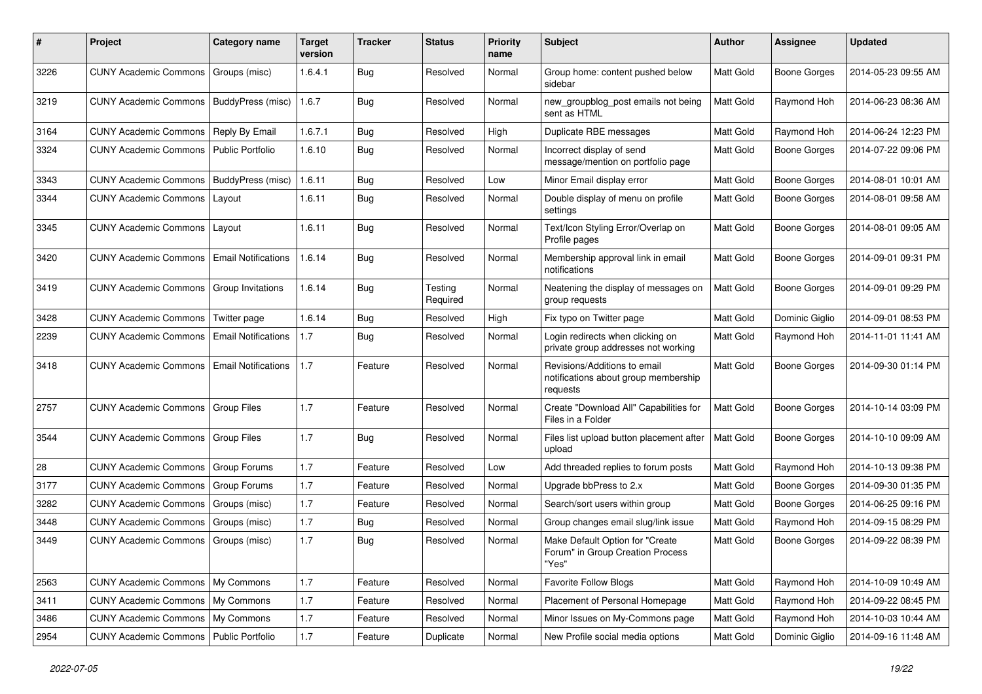| #    | Project                                   | <b>Category name</b>       | <b>Target</b><br>version | <b>Tracker</b> | <b>Status</b>       | <b>Priority</b><br>name | Subject                                                                          | Author    | <b>Assignee</b>     | <b>Updated</b>      |
|------|-------------------------------------------|----------------------------|--------------------------|----------------|---------------------|-------------------------|----------------------------------------------------------------------------------|-----------|---------------------|---------------------|
| 3226 | CUNY Academic Commons                     | Groups (misc)              | 1.6.4.1                  | Bug            | Resolved            | Normal                  | Group home: content pushed below<br>sidebar                                      | Matt Gold | Boone Gorges        | 2014-05-23 09:55 AM |
| 3219 | <b>CUNY Academic Commons</b>              | BuddyPress (misc)          | 1.6.7                    | Bug            | Resolved            | Normal                  | new_groupblog_post emails not being<br>sent as HTML                              | Matt Gold | Raymond Hoh         | 2014-06-23 08:36 AM |
| 3164 | <b>CUNY Academic Commons</b>              | Reply By Email             | 1.6.7.1                  | Bug            | Resolved            | High                    | Duplicate RBE messages                                                           | Matt Gold | Raymond Hoh         | 2014-06-24 12:23 PM |
| 3324 | CUNY Academic Commons   Public Portfolio  |                            | 1.6.10                   | Bug            | Resolved            | Normal                  | Incorrect display of send<br>message/mention on portfolio page                   | Matt Gold | Boone Gorges        | 2014-07-22 09:06 PM |
| 3343 | CUNY Academic Commons   BuddyPress (misc) |                            | 1.6.11                   | Bug            | Resolved            | Low                     | Minor Email display error                                                        | Matt Gold | <b>Boone Gorges</b> | 2014-08-01 10:01 AM |
| 3344 | <b>CUNY Academic Commons</b>              | Layout                     | 1.6.11                   | <b>Bug</b>     | Resolved            | Normal                  | Double display of menu on profile<br>settings                                    | Matt Gold | Boone Gorges        | 2014-08-01 09:58 AM |
| 3345 | <b>CUNY Academic Commons</b>              | Layout                     | 1.6.11                   | Bug            | Resolved            | Normal                  | Text/Icon Styling Error/Overlap on<br>Profile pages                              | Matt Gold | Boone Gorges        | 2014-08-01 09:05 AM |
| 3420 | <b>CUNY Academic Commons</b>              | <b>Email Notifications</b> | 1.6.14                   | <b>Bug</b>     | Resolved            | Normal                  | Membership approval link in email<br>notifications                               | Matt Gold | Boone Gorges        | 2014-09-01 09:31 PM |
| 3419 | <b>CUNY Academic Commons</b>              | Group Invitations          | 1.6.14                   | Bug            | Testing<br>Required | Normal                  | Neatening the display of messages on<br>group requests                           | Matt Gold | <b>Boone Gorges</b> | 2014-09-01 09:29 PM |
| 3428 | <b>CUNY Academic Commons</b>              | Twitter page               | 1.6.14                   | Bug            | Resolved            | High                    | Fix typo on Twitter page                                                         | Matt Gold | Dominic Giglio      | 2014-09-01 08:53 PM |
| 2239 | <b>CUNY Academic Commons</b>              | <b>Email Notifications</b> | 1.7                      | Bug            | Resolved            | Normal                  | Login redirects when clicking on<br>private group addresses not working          | Matt Gold | Raymond Hoh         | 2014-11-01 11:41 AM |
| 3418 | <b>CUNY Academic Commons</b>              | <b>Email Notifications</b> | 1.7                      | Feature        | Resolved            | Normal                  | Revisions/Additions to email<br>notifications about group membership<br>requests | Matt Gold | Boone Gorges        | 2014-09-30 01:14 PM |
| 2757 | CUNY Academic Commons   Group Files       |                            | 1.7                      | Feature        | Resolved            | Normal                  | Create "Download All" Capabilities for<br>Files in a Folder                      | Matt Gold | <b>Boone Gorges</b> | 2014-10-14 03:09 PM |
| 3544 | <b>CUNY Academic Commons</b>              | Group Files                | 1.7                      | <b>Bug</b>     | Resolved            | Normal                  | Files list upload button placement after<br>upload                               | Matt Gold | Boone Gorges        | 2014-10-10 09:09 AM |
| 28   | <b>CUNY Academic Commons</b>              | Group Forums               | 1.7                      | Feature        | Resolved            | Low                     | Add threaded replies to forum posts                                              | Matt Gold | Raymond Hoh         | 2014-10-13 09:38 PM |
| 3177 | <b>CUNY Academic Commons</b>              | Group Forums               | 1.7                      | Feature        | Resolved            | Normal                  | Upgrade bbPress to 2.x                                                           | Matt Gold | Boone Gorges        | 2014-09-30 01:35 PM |
| 3282 | <b>CUNY Academic Commons</b>              | Groups (misc)              | 1.7                      | Feature        | Resolved            | Normal                  | Search/sort users within group                                                   | Matt Gold | <b>Boone Gorges</b> | 2014-06-25 09:16 PM |
| 3448 | <b>CUNY Academic Commons</b>              | Groups (misc)              | 1.7                      | <b>Bug</b>     | Resolved            | Normal                  | Group changes email slug/link issue                                              | Matt Gold | Raymond Hoh         | 2014-09-15 08:29 PM |
| 3449 | CUNY Academic Commons   Groups (misc)     |                            | 1.7                      | Bug            | Resolved            | Normal                  | Make Default Option for "Create<br>Forum" in Group Creation Process<br>"Yes"     | Matt Gold | Boone Gorges        | 2014-09-22 08:39 PM |
| 2563 | CUNY Academic Commons   My Commons        |                            | 1.7                      | Feature        | Resolved            | Normal                  | Favorite Follow Blogs                                                            | Matt Gold | Raymond Hoh         | 2014-10-09 10:49 AM |
| 3411 | CUNY Academic Commons   My Commons        |                            | 1.7                      | Feature        | Resolved            | Normal                  | Placement of Personal Homepage                                                   | Matt Gold | Raymond Hoh         | 2014-09-22 08:45 PM |
| 3486 | CUNY Academic Commons   My Commons        |                            | 1.7                      | Feature        | Resolved            | Normal                  | Minor Issues on My-Commons page                                                  | Matt Gold | Raymond Hoh         | 2014-10-03 10:44 AM |
| 2954 | CUNY Academic Commons   Public Portfolio  |                            | $1.7\,$                  | Feature        | Duplicate           | Normal                  | New Profile social media options                                                 | Matt Gold | Dominic Giglio      | 2014-09-16 11:48 AM |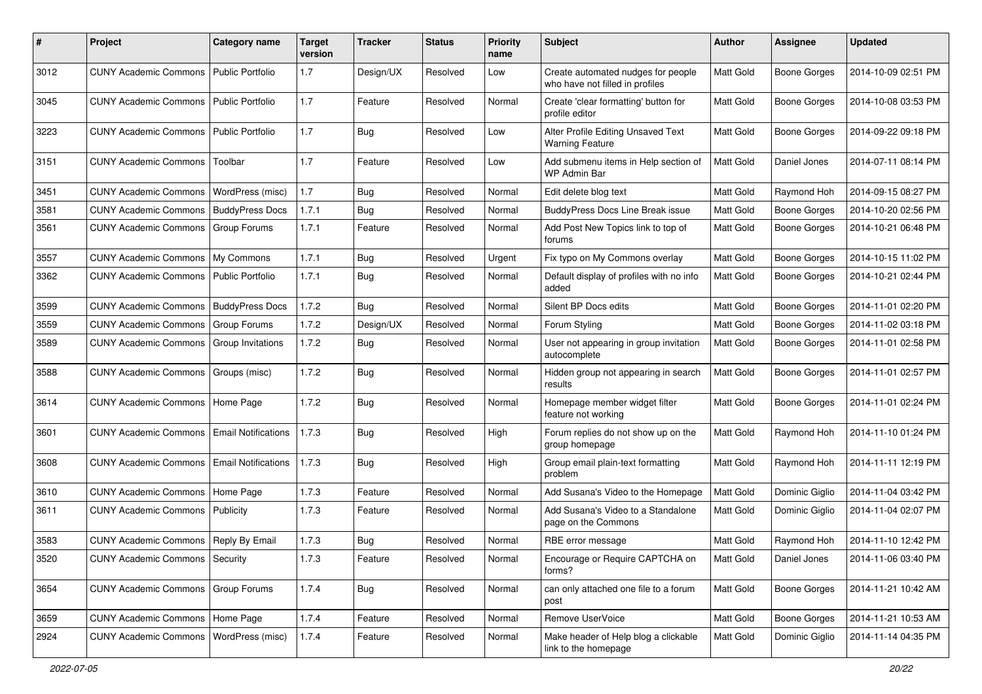| #    | Project                              | <b>Category name</b>       | <b>Target</b><br>version | Tracker    | <b>Status</b> | <b>Priority</b><br>name | <b>Subject</b>                                                        | Author    | <b>Assignee</b>     | <b>Updated</b>      |
|------|--------------------------------------|----------------------------|--------------------------|------------|---------------|-------------------------|-----------------------------------------------------------------------|-----------|---------------------|---------------------|
| 3012 | <b>CUNY Academic Commons</b>         | Public Portfolio           | 1.7                      | Design/UX  | Resolved      | Low                     | Create automated nudges for people<br>who have not filled in profiles | Matt Gold | <b>Boone Gorges</b> | 2014-10-09 02:51 PM |
| 3045 | <b>CUNY Academic Commons</b>         | <b>Public Portfolio</b>    | 1.7                      | Feature    | Resolved      | Normal                  | Create 'clear formatting' button for<br>profile editor                | Matt Gold | <b>Boone Gorges</b> | 2014-10-08 03:53 PM |
| 3223 | <b>CUNY Academic Commons</b>         | <b>Public Portfolio</b>    | 1.7                      | Bug        | Resolved      | Low                     | Alter Profile Editing Unsaved Text<br><b>Warning Feature</b>          | Matt Gold | <b>Boone Gorges</b> | 2014-09-22 09:18 PM |
| 3151 | <b>CUNY Academic Commons</b>         | Toolbar                    | 1.7                      | Feature    | Resolved      | Low                     | Add submenu items in Help section of<br>WP Admin Bar                  | Matt Gold | Daniel Jones        | 2014-07-11 08:14 PM |
| 3451 | <b>CUNY Academic Commons</b>         | WordPress (misc)           | 1.7                      | Bug        | Resolved      | Normal                  | Edit delete blog text                                                 | Matt Gold | Raymond Hoh         | 2014-09-15 08:27 PM |
| 3581 | <b>CUNY Academic Commons</b>         | <b>BuddyPress Docs</b>     | 1.7.1                    | <b>Bug</b> | Resolved      | Normal                  | BuddyPress Docs Line Break issue                                      | Matt Gold | <b>Boone Gorges</b> | 2014-10-20 02:56 PM |
| 3561 | <b>CUNY Academic Commons</b>         | Group Forums               | 1.7.1                    | Feature    | Resolved      | Normal                  | Add Post New Topics link to top of<br>forums                          | Matt Gold | <b>Boone Gorges</b> | 2014-10-21 06:48 PM |
| 3557 | <b>CUNY Academic Commons</b>         | My Commons                 | 1.7.1                    | Bug        | Resolved      | Urgent                  | Fix typo on My Commons overlay                                        | Matt Gold | <b>Boone Gorges</b> | 2014-10-15 11:02 PM |
| 3362 | <b>CUNY Academic Commons</b>         | <b>Public Portfolio</b>    | 1.7.1                    | Bug        | Resolved      | Normal                  | Default display of profiles with no info<br>added                     | Matt Gold | <b>Boone Gorges</b> | 2014-10-21 02:44 PM |
| 3599 | <b>CUNY Academic Commons</b>         | <b>BuddyPress Docs</b>     | 1.7.2                    | Bug        | Resolved      | Normal                  | Silent BP Docs edits                                                  | Matt Gold | <b>Boone Gorges</b> | 2014-11-01 02:20 PM |
| 3559 | <b>CUNY Academic Commons</b>         | <b>Group Forums</b>        | 1.7.2                    | Design/UX  | Resolved      | Normal                  | Forum Styling                                                         | Matt Gold | Boone Gorges        | 2014-11-02 03:18 PM |
| 3589 | <b>CUNY Academic Commons</b>         | Group Invitations          | 1.7.2                    | <b>Bug</b> | Resolved      | Normal                  | User not appearing in group invitation<br>autocomplete                | Matt Gold | <b>Boone Gorges</b> | 2014-11-01 02:58 PM |
| 3588 | <b>CUNY Academic Commons</b>         | Groups (misc)              | 1.7.2                    | <b>Bug</b> | Resolved      | Normal                  | Hidden group not appearing in search<br>results                       | Matt Gold | <b>Boone Gorges</b> | 2014-11-01 02:57 PM |
| 3614 | <b>CUNY Academic Commons</b>         | Home Page                  | 1.7.2                    | Bug        | Resolved      | Normal                  | Homepage member widget filter<br>feature not working                  | Matt Gold | <b>Boone Gorges</b> | 2014-11-01 02:24 PM |
| 3601 | <b>CUNY Academic Commons</b>         | <b>Email Notifications</b> | 1.7.3                    | Bug        | Resolved      | High                    | Forum replies do not show up on the<br>group homepage                 | Matt Gold | Raymond Hoh         | 2014-11-10 01:24 PM |
| 3608 | <b>CUNY Academic Commons</b>         | <b>Email Notifications</b> | 1.7.3                    | Bug        | Resolved      | High                    | Group email plain-text formatting<br>problem                          | Matt Gold | Raymond Hoh         | 2014-11-11 12:19 PM |
| 3610 | <b>CUNY Academic Commons</b>         | Home Page                  | 1.7.3                    | Feature    | Resolved      | Normal                  | Add Susana's Video to the Homepage                                    | Matt Gold | Dominic Giglio      | 2014-11-04 03:42 PM |
| 3611 | <b>CUNY Academic Commons</b>         | Publicity                  | 1.7.3                    | Feature    | Resolved      | Normal                  | Add Susana's Video to a Standalone<br>page on the Commons             | Matt Gold | Dominic Giglio      | 2014-11-04 02:07 PM |
| 3583 | <b>CUNY Academic Commons</b>         | Reply By Email             | 1.7.3                    | Bug        | Resolved      | Normal                  | RBE error message                                                     | Matt Gold | Raymond Hoh         | 2014-11-10 12:42 PM |
| 3520 | CUNY Academic Commons   Security     |                            | 1.7.3                    | Feature    | Resolved      | Normal                  | Encourage or Require CAPTCHA on<br>forms?                             | Matt Gold | Daniel Jones        | 2014-11-06 03:40 PM |
| 3654 | CUNY Academic Commons   Group Forums |                            | 1.7.4                    | <b>Bug</b> | Resolved      | Normal                  | can only attached one file to a forum<br>post                         | Matt Gold | Boone Gorges        | 2014-11-21 10:42 AM |
| 3659 | CUNY Academic Commons   Home Page    |                            | 1.7.4                    | Feature    | Resolved      | Normal                  | Remove UserVoice                                                      | Matt Gold | Boone Gorges        | 2014-11-21 10:53 AM |
| 2924 | <b>CUNY Academic Commons</b>         | WordPress (misc)           | 1.7.4                    | Feature    | Resolved      | Normal                  | Make header of Help blog a clickable<br>link to the homepage          | Matt Gold | Dominic Giglio      | 2014-11-14 04:35 PM |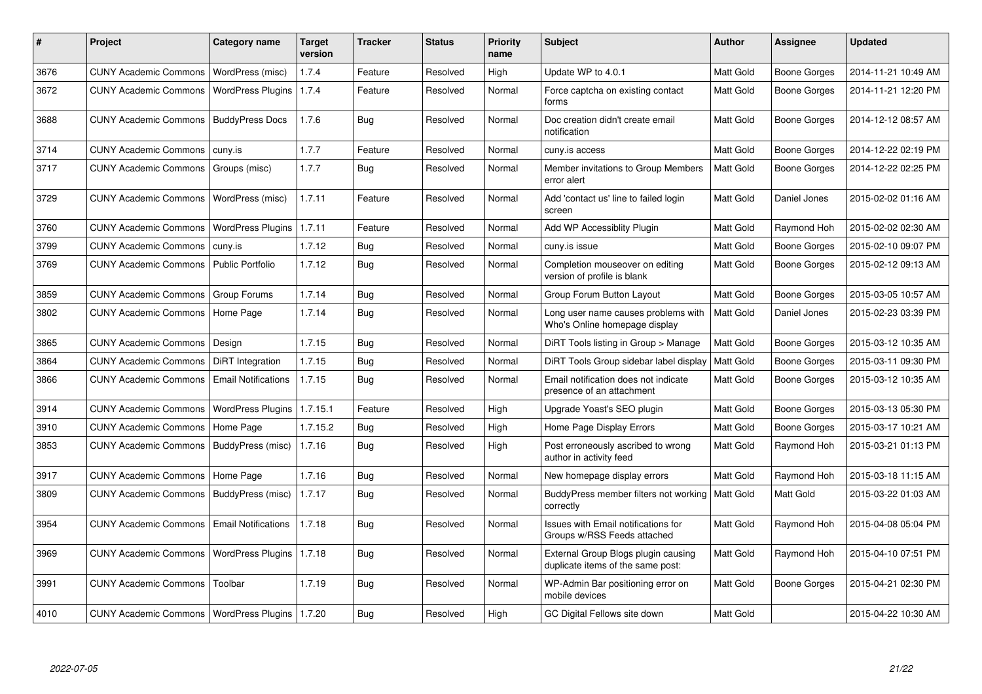| $\#$ | Project                                            | Category name              | <b>Target</b><br>version | <b>Tracker</b> | <b>Status</b> | <b>Priority</b><br>name | <b>Subject</b>                                                           | <b>Author</b>    | Assignee            | <b>Updated</b>      |
|------|----------------------------------------------------|----------------------------|--------------------------|----------------|---------------|-------------------------|--------------------------------------------------------------------------|------------------|---------------------|---------------------|
| 3676 | <b>CUNY Academic Commons</b>                       | WordPress (misc)           | 1.7.4                    | Feature        | Resolved      | High                    | Update WP to 4.0.1                                                       | Matt Gold        | <b>Boone Gorges</b> | 2014-11-21 10:49 AM |
| 3672 | <b>CUNY Academic Commons</b>                       | <b>WordPress Plugins</b>   | 1.7.4                    | Feature        | Resolved      | Normal                  | Force captcha on existing contact<br>forms                               | Matt Gold        | <b>Boone Gorges</b> | 2014-11-21 12:20 PM |
| 3688 | <b>CUNY Academic Commons</b>                       | <b>BuddyPress Docs</b>     | 1.7.6                    | Bug            | Resolved      | Normal                  | Doc creation didn't create email<br>notification                         | Matt Gold        | Boone Gorges        | 2014-12-12 08:57 AM |
| 3714 | <b>CUNY Academic Commons</b>                       | cuny.is                    | 1.7.7                    | Feature        | Resolved      | Normal                  | cuny.is access                                                           | Matt Gold        | <b>Boone Gorges</b> | 2014-12-22 02:19 PM |
| 3717 | <b>CUNY Academic Commons</b>                       | Groups (misc)              | 1.7.7                    | Bug            | Resolved      | Normal                  | Member invitations to Group Members<br>error alert                       | Matt Gold        | Boone Gorges        | 2014-12-22 02:25 PM |
| 3729 | <b>CUNY Academic Commons</b>                       | WordPress (misc)           | 1.7.11                   | Feature        | Resolved      | Normal                  | Add 'contact us' line to failed login<br>screen                          | Matt Gold        | Daniel Jones        | 2015-02-02 01:16 AM |
| 3760 | <b>CUNY Academic Commons</b>                       | <b>WordPress Plugins</b>   | 1.7.11                   | Feature        | Resolved      | Normal                  | Add WP Accessiblity Plugin                                               | Matt Gold        | Raymond Hoh         | 2015-02-02 02:30 AM |
| 3799 | <b>CUNY Academic Commons</b>                       | cuny.is                    | 1.7.12                   | Bug            | Resolved      | Normal                  | cuny.is issue                                                            | Matt Gold        | <b>Boone Gorges</b> | 2015-02-10 09:07 PM |
| 3769 | <b>CUNY Academic Commons</b>                       | <b>Public Portfolio</b>    | 1.7.12                   | Bug            | Resolved      | Normal                  | Completion mouseover on editing<br>version of profile is blank           | <b>Matt Gold</b> | <b>Boone Gorges</b> | 2015-02-12 09:13 AM |
| 3859 | <b>CUNY Academic Commons</b>                       | Group Forums               | 1.7.14                   | <b>Bug</b>     | Resolved      | Normal                  | Group Forum Button Layout                                                | Matt Gold        | Boone Gorges        | 2015-03-05 10:57 AM |
| 3802 | <b>CUNY Academic Commons</b>                       | Home Page                  | 1.7.14                   | <b>Bug</b>     | Resolved      | Normal                  | Long user name causes problems with<br>Who's Online homepage display     | Matt Gold        | Daniel Jones        | 2015-02-23 03:39 PM |
| 3865 | <b>CUNY Academic Commons</b>                       | Design                     | 1.7.15                   | <b>Bug</b>     | Resolved      | Normal                  | DiRT Tools listing in Group > Manage                                     | Matt Gold        | <b>Boone Gorges</b> | 2015-03-12 10:35 AM |
| 3864 | <b>CUNY Academic Commons</b>                       | <b>DiRT</b> Integration    | 1.7.15                   | Bug            | Resolved      | Normal                  | DiRT Tools Group sidebar label display                                   | Matt Gold        | <b>Boone Gorges</b> | 2015-03-11 09:30 PM |
| 3866 | <b>CUNY Academic Commons</b>                       | <b>Email Notifications</b> | 1.7.15                   | Bug            | Resolved      | Normal                  | Email notification does not indicate<br>presence of an attachment        | Matt Gold        | Boone Gorges        | 2015-03-12 10:35 AM |
| 3914 | <b>CUNY Academic Commons</b>                       | <b>WordPress Plugins</b>   | 1.7.15.1                 | Feature        | Resolved      | High                    | Upgrade Yoast's SEO plugin                                               | Matt Gold        | <b>Boone Gorges</b> | 2015-03-13 05:30 PM |
| 3910 | <b>CUNY Academic Commons</b>                       | Home Page                  | 1.7.15.2                 | <b>Bug</b>     | Resolved      | High                    | Home Page Display Errors                                                 | Matt Gold        | Boone Gorges        | 2015-03-17 10:21 AM |
| 3853 | <b>CUNY Academic Commons</b>                       | BuddyPress (misc)          | 1.7.16                   | Bug            | Resolved      | High                    | Post erroneously ascribed to wrong<br>author in activity feed            | Matt Gold        | Raymond Hoh         | 2015-03-21 01:13 PM |
| 3917 | <b>CUNY Academic Commons</b>                       | Home Page                  | 1.7.16                   | Bug            | Resolved      | Normal                  | New homepage display errors                                              | Matt Gold        | Raymond Hoh         | 2015-03-18 11:15 AM |
| 3809 | <b>CUNY Academic Commons</b>                       | BuddyPress (misc)          | 1.7.17                   | Bug            | Resolved      | Normal                  | BuddyPress member filters not working<br>correctly                       | <b>Matt Gold</b> | Matt Gold           | 2015-03-22 01:03 AM |
| 3954 | <b>CUNY Academic Commons</b>                       | <b>Email Notifications</b> | 1.7.18                   | <b>Bug</b>     | Resolved      | Normal                  | Issues with Email notifications for<br>Groups w/RSS Feeds attached       | Matt Gold        | Raymond Hoh         | 2015-04-08 05:04 PM |
| 3969 | <b>CUNY Academic Commons</b>                       | WordPress Plugins   1.7.18 |                          | <b>Bug</b>     | Resolved      | Normal                  | External Group Blogs plugin causing<br>duplicate items of the same post: | Matt Gold        | Raymond Hoh         | 2015-04-10 07:51 PM |
| 3991 | <b>CUNY Academic Commons</b>                       | Toolbar                    | 1.7.19                   | Bug            | Resolved      | Normal                  | WP-Admin Bar positioning error on<br>mobile devices                      | Matt Gold        | <b>Boone Gorges</b> | 2015-04-21 02:30 PM |
| 4010 | CUNY Academic Commons   WordPress Plugins   1.7.20 |                            |                          | <b>Bug</b>     | Resolved      | High                    | GC Digital Fellows site down                                             | Matt Gold        |                     | 2015-04-22 10:30 AM |